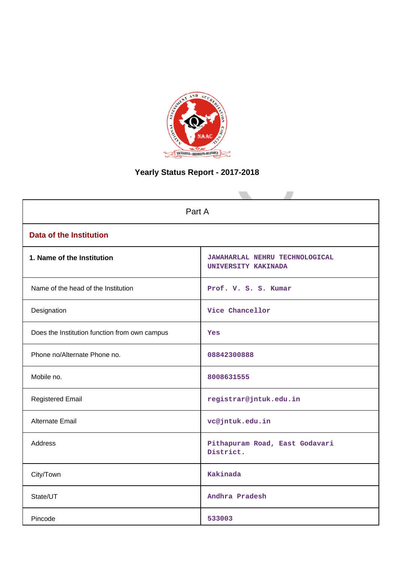

# **Yearly Status Report - 2017-2018**

| Part A                                        |                                                              |  |  |  |
|-----------------------------------------------|--------------------------------------------------------------|--|--|--|
| <b>Data of the Institution</b>                |                                                              |  |  |  |
| 1. Name of the Institution                    | <b>JAWAHARLAL NEHRU TECHNOLOGICAL</b><br>UNIVERSITY KAKINADA |  |  |  |
| Name of the head of the Institution           | Prof. V. S. S. Kumar                                         |  |  |  |
| Designation                                   | Vice Chancellor                                              |  |  |  |
| Does the Institution function from own campus | <b>Yes</b>                                                   |  |  |  |
| Phone no/Alternate Phone no.                  | 08842300888                                                  |  |  |  |
| Mobile no.                                    | 8008631555                                                   |  |  |  |
| <b>Registered Email</b>                       | registrar@jntuk.edu.in                                       |  |  |  |
| Alternate Email                               | vc@jntuk.edu.in                                              |  |  |  |
| <b>Address</b>                                | Pithapuram Road, East Godavari<br>District.                  |  |  |  |
| City/Town                                     | Kakinada                                                     |  |  |  |
| State/UT                                      | Andhra Pradesh                                               |  |  |  |
| Pincode                                       | 533003                                                       |  |  |  |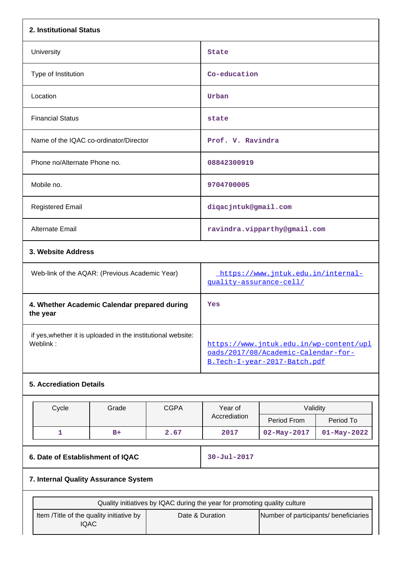| 2. Institutional Status                                                  |       |                                                                                                                |                      |                   |                   |
|--------------------------------------------------------------------------|-------|----------------------------------------------------------------------------------------------------------------|----------------------|-------------------|-------------------|
| University                                                               |       | <b>State</b>                                                                                                   |                      |                   |                   |
| Type of Institution                                                      |       |                                                                                                                | Co-education         |                   |                   |
| Location                                                                 |       |                                                                                                                | Urban                |                   |                   |
| <b>Financial Status</b>                                                  |       |                                                                                                                | state                |                   |                   |
| Name of the IQAC co-ordinator/Director                                   |       |                                                                                                                | Prof. V. Ravindra    |                   |                   |
| Phone no/Alternate Phone no.                                             |       |                                                                                                                | 08842300919          |                   |                   |
| Mobile no.                                                               |       | 9704700005                                                                                                     |                      |                   |                   |
| <b>Registered Email</b>                                                  |       |                                                                                                                | diqacjntuk@gmail.com |                   |                   |
| Alternate Email                                                          |       | ravindra.vipparthy@gmail.com                                                                                   |                      |                   |                   |
| 3. Website Address                                                       |       |                                                                                                                |                      |                   |                   |
| Web-link of the AQAR: (Previous Academic Year)                           |       | https://www.jntuk.edu.in/internal-<br>quality-assurance-cell/                                                  |                      |                   |                   |
| 4. Whether Academic Calendar prepared during<br>the year                 |       |                                                                                                                | Yes                  |                   |                   |
| if yes, whether it is uploaded in the institutional website:<br>Weblink: |       | https://www.jntuk.edu.in/wp-content/upl<br>oads/2017/08/Academic-Calendar-for-<br>B.Tech-I-year-2017-Batch.pdf |                      |                   |                   |
| <b>5. Accrediation Details</b>                                           |       |                                                                                                                |                      |                   |                   |
| Cycle                                                                    | Grade | <b>CGPA</b>                                                                                                    | Year of<br>Validity  |                   |                   |
|                                                                          |       |                                                                                                                | Accrediation         | Period From       | Period To         |
| $\mathbf{1}$                                                             | $B+$  | 2.67                                                                                                           | 2017                 | $02 - May - 2017$ | $01 - May - 2022$ |
| 6. Date of Establishment of IQAC                                         |       |                                                                                                                | $30 - Jul - 2017$    |                   |                   |

# **7. Internal Quality Assurance System**

| Quality initiatives by IQAC during the year for promoting quality culture |                 |                                       |
|---------------------------------------------------------------------------|-----------------|---------------------------------------|
| Item / Title of the quality initiative by<br>IQAC                         | Date & Duration | Number of participants/ beneficiaries |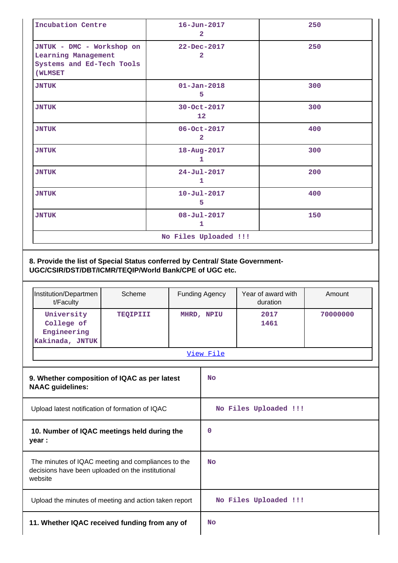| Incubation Centre                                                                        | $16 - Jun - 2017$<br>$\overline{2}$ | 250 |
|------------------------------------------------------------------------------------------|-------------------------------------|-----|
| JNTUK - DMC - Workshop on<br>Learning Management<br>Systems and Ed-Tech Tools<br>(WLMSET | 22-Dec-2017<br>2                    | 250 |
| <b>JNTUK</b>                                                                             | $01 - Jan - 2018$<br>5              | 300 |
| <b>JNTUK</b>                                                                             | 30-Oct-2017<br>12                   | 300 |
| <b>JNTUK</b>                                                                             | 06-Oct-2017<br>$\overline{2}$       | 400 |
| <b>JNTUK</b>                                                                             | 18-Aug-2017<br>1                    | 300 |
| <b>JNTUK</b>                                                                             | $24 - Jul - 2017$<br>1              | 200 |
| <b>JNTUK</b>                                                                             | $10 - Ju1 - 2017$<br>5              | 400 |
| <b>JNTUK</b>                                                                             | $08 - Jul - 2017$<br>$\mathbf{1}$   | 150 |
|                                                                                          | No Files Uploaded !!!               |     |

| Institution/Departmen<br>t/Faculty                         | Scheme          | <b>Funding Agency</b> | Year of award with<br>duration | Amount   |
|------------------------------------------------------------|-----------------|-----------------------|--------------------------------|----------|
| University<br>College of<br>Engineering<br>Kakinada, JNTUK | <b>TEOIPIII</b> | MHRD, NPIU            | 2017<br>1461                   | 70000000 |
|                                                            |                 | View File             |                                |          |

| 9. Whether composition of IQAC as per latest<br><b>NAAC</b> guidelines:                                            | <b>No</b>             |
|--------------------------------------------------------------------------------------------------------------------|-----------------------|
| Upload latest notification of formation of IQAC                                                                    | No Files Uploaded !!! |
| 10. Number of IQAC meetings held during the<br>year :                                                              | 0                     |
| The minutes of IQAC meeting and compliances to the<br>decisions have been uploaded on the institutional<br>website | No                    |
| Upload the minutes of meeting and action taken report                                                              | No Files Uploaded !!! |
| 11. Whether IQAC received funding from any of                                                                      | No                    |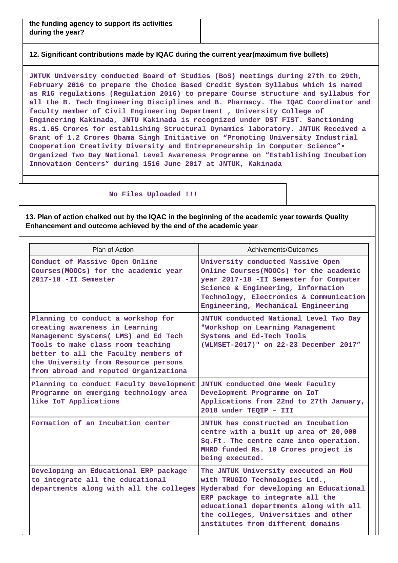#### **12. Significant contributions made by IQAC during the current year(maximum five bullets)**

**JNTUK University conducted Board of Studies (BoS) meetings during 27th to 29th, February 2016 to prepare the Choice Based Credit System Syllabus which is named as R16 regulations (Regulation 2016) to prepare Course structure and syllabus for all the B. Tech Engineering Disciplines and B. Pharmacy. The IQAC Coordinator and faculty member of Civil Engineering Department , University College of Engineering Kakinada, JNTU Kakinada is recognized under DST FIST. Sanctioning Rs.1.65 Crores for establishing Structural Dynamics laboratory. JNTUK Received a Grant of 1.2 Crores Obama Singh Initiative on "Promoting University Industrial Cooperation Creativity Diversity and Entrepreneurship in Computer Science"• Organized Two Day National Level Awareness Programme on "Establishing Incubation Innovation Centers" during 1516 June 2017 at JNTUK, Kakinada**

#### **No Files Uploaded !!!**

**13. Plan of action chalked out by the IQAC in the beginning of the academic year towards Quality Enhancement and outcome achieved by the end of the academic year**

| Plan of Action                                                                                                                                                                                                                                                             | Achivements/Outcomes                                                                                                                                                                                                                                                         |
|----------------------------------------------------------------------------------------------------------------------------------------------------------------------------------------------------------------------------------------------------------------------------|------------------------------------------------------------------------------------------------------------------------------------------------------------------------------------------------------------------------------------------------------------------------------|
| Conduct of Massive Open Online<br>Courses (MOOCs) for the academic year<br>2017-18 -II Semester                                                                                                                                                                            | University conducted Massive Open<br>Online Courses (MOOCs) for the academic<br>year 2017-18 -II Semester for Computer<br>Science & Engineering, Information<br>Technology, Electronics & Communication<br>Engineering, Mechanical Engineering                               |
| Planning to conduct a workshop for<br>creating awareness in Learning<br>Management Systems (LMS) and Ed Tech<br>Tools to make class room teaching<br>better to all the Faculty members of<br>the University from Resource persons<br>from abroad and reputed Organizationa | JNTUK conducted National Level Two Day<br>"Workshop on Learning Management<br>Systems and Ed-Tech Tools<br>(WLMSET-2017)" on 22-23 December 2017"                                                                                                                            |
| Planning to conduct Faculty Development<br>Programme on emerging technology area<br>like IoT Applications                                                                                                                                                                  | JNTUK conducted One Week Faculty<br>Development Programme on IoT<br>Applications from 22nd to 27th January,<br>2018 under TEQIP - III                                                                                                                                        |
| Formation of an Incubation center                                                                                                                                                                                                                                          | JNTUK has constructed an Incubation<br>centre with a built up area of 20,000<br>Sq.Ft. The centre came into operation.<br>MHRD funded Rs. 10 Crores project is<br>being executed.                                                                                            |
| Developing an Educational ERP package<br>to integrate all the educational<br>departments along with all the colleges                                                                                                                                                       | The JNTUK University executed an MoU<br>with TRUGIO Technologies Ltd.,<br>Hyderabad for developing an Educational<br>ERP package to integrate all the<br>educational departments along with all<br>the colleges, Universities and other<br>institutes from different domains |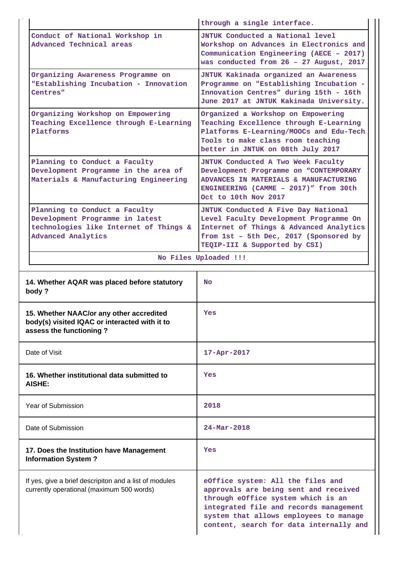|               |                                                                                                                                         | through a single interface.                                                                                                                                                                         |
|---------------|-----------------------------------------------------------------------------------------------------------------------------------------|-----------------------------------------------------------------------------------------------------------------------------------------------------------------------------------------------------|
|               | Conduct of National Workshop in<br>Advanced Technical areas                                                                             | JNTUK Conducted a National level<br>Workshop on Advances in Electronics and<br>Communication Engineering (AECE - 2017)<br>was conducted from 26 - 27 August, 2017                                   |
|               | Organizing Awareness Programme on<br>"Establishing Incubation - Innovation<br>Centres"                                                  | JNTUK Kakinada organized an Awareness<br>Programme on "Establishing Incubation -<br>Innovation Centres" during 15th - 16th<br>June 2017 at JNTUK Kakinada University.                               |
|               | Organizing Workshop on Empowering<br>Teaching Excellence through E-Learning<br>Platforms                                                | Organized a Workshop on Empowering<br>Teaching Excellence through E-Learning<br>Platforms E-Learning/MOOCs and Edu-Tech<br>Tools to make class room teaching<br>better in JNTUK on 08th July 2017   |
|               | Planning to Conduct a Faculty<br>Development Programme in the area of<br>Materials & Manufacturing Engineering                          | JNTUK Conducted A Two Week Faculty<br>Development Programme on "CONTEMPORARY<br>ADVANCES IN MATERIALS & MANUFACTURING<br>ENGINEERING (CAMME - 2017)" from 30th<br>Oct to 10th Nov 2017              |
|               | Planning to Conduct a Faculty<br>Development Programme in latest<br>technologies like Internet of Things &<br><b>Advanced Analytics</b> | JNTUK Conducted A Five Day National<br>Level Faculty Development Programme On<br>Internet of Things & Advanced Analytics<br>from 1st - 5th Dec, 2017 (Sponsored by<br>TEQIP-III & Supported by CSI) |
|               |                                                                                                                                         | No Files Uploaded !!!                                                                                                                                                                               |
| body ?        | 14. Whether AQAR was placed before statutory                                                                                            | No.                                                                                                                                                                                                 |
|               | 15. Whether NAAC/or any other accredited<br>body(s) visited IQAC or interacted with it to<br>assess the functioning?                    | Yes                                                                                                                                                                                                 |
| Date of Visit |                                                                                                                                         | $17 - Apr - 2017$                                                                                                                                                                                   |
| AISHE:        | 16. Whether institutional data submitted to                                                                                             | Yes                                                                                                                                                                                                 |
|               | Year of Submission                                                                                                                      | 2018                                                                                                                                                                                                |
|               | Date of Submission                                                                                                                      | $24 - Mar - 2018$                                                                                                                                                                                   |
|               | 17. Does the Institution have Management<br><b>Information System?</b>                                                                  | Yes                                                                                                                                                                                                 |
|               | If yes, give a brief descripiton and a list of modules<br>currently operational (maximum 500 words)                                     | eOffice system: All the files and<br>approvals are being sent and received<br>through eOffice system which is an                                                                                    |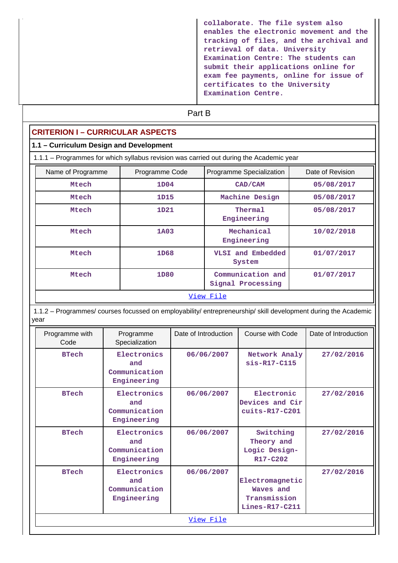| collaborate. The file system also<br>enables the electronic movement and the<br>tracking of files, and the archival and<br>retrieval of data. University<br>Examination Centre: The students can<br>submit their applications online for<br>exam fee payments, online for issue of<br>certificates to the University |
|----------------------------------------------------------------------------------------------------------------------------------------------------------------------------------------------------------------------------------------------------------------------------------------------------------------------|
| Examination Centre.                                                                                                                                                                                                                                                                                                  |

# **Part B**

# **CRITERION I – CURRICULAR ASPECTS**

### **1.1 – Curriculum Design and Development**

1.1.1 – Programmes for which syllabus revision was carried out during the Academic year

| Name of Programme | Programme Code | Programme Specialization               | Date of Revision |
|-------------------|----------------|----------------------------------------|------------------|
| Mtech             | 1D04           | CAD/CAM                                | 05/08/2017       |
| Mtech             | 1D15           | Machine Design                         | 05/08/2017       |
| Mtech             | 1D21           | Thermal<br>Engineering                 | 05/08/2017       |
| Mtech             | 1A03           | Mechanical<br>Engineering              | 10/02/2018       |
| <b>Mtech</b>      | 1D68           | VLSI and Embedded<br>System            | 01/07/2017       |
| <b>Mtech</b>      | 1D80           | Communication and<br>Signal Processing | 01/07/2017       |
| View File         |                |                                        |                  |

 1.1.2 – Programmes/ courses focussed on employability/ entrepreneurship/ skill development during the Academic year

| Programme with<br>Code | Programme<br>Specialization                        | Date of Introduction | Course with Code                                                              | Date of Introduction |
|------------------------|----------------------------------------------------|----------------------|-------------------------------------------------------------------------------|----------------------|
| <b>BTech</b>           | Electronics<br>and<br>Communication<br>Engineering | 06/06/2007           | Network Analy<br>$sis-R17-C115$                                               | 27/02/2016           |
| <b>BTech</b>           | Electronics<br>and<br>Communication<br>Engineering | 06/06/2007           | Electronic<br>Devices and Cir<br>$cuts-R17-C201$                              | 27/02/2016           |
| <b>BTech</b>           | Electronics<br>and<br>Communication<br>Engineering | 06/06/2007           | Switching<br>Theory and<br>Logic Design-<br>R <sub>17</sub> -C <sub>202</sub> | 27/02/2016           |
| <b>BTech</b>           | Electronics<br>and<br>Communication<br>Engineering | 06/06/2007           | Electromagnetic<br>Waves and<br>Transmission<br>$Lines-R17-C211$              | 27/02/2016           |
|                        |                                                    | View File            |                                                                               |                      |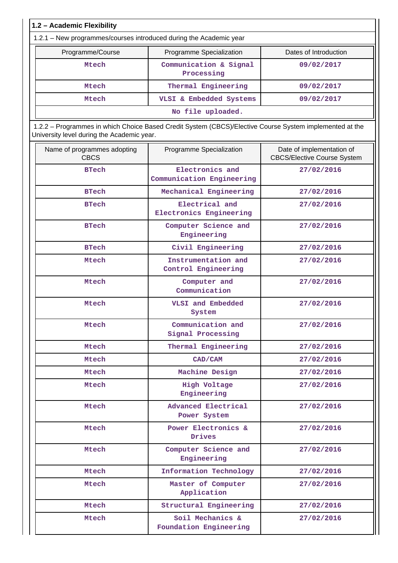| 1.2 - Academic Flexibility                                         |                                                                                                         |                                                                 |
|--------------------------------------------------------------------|---------------------------------------------------------------------------------------------------------|-----------------------------------------------------------------|
| 1.2.1 - New programmes/courses introduced during the Academic year |                                                                                                         |                                                                 |
| Programme/Course                                                   | Programme Specialization                                                                                | Dates of Introduction                                           |
| Mtech                                                              | Communication & Signal<br>Processing                                                                    | 09/02/2017                                                      |
| Mtech                                                              | Thermal Engineering                                                                                     | 09/02/2017                                                      |
| Mtech                                                              | VLSI & Embedded Systems                                                                                 | 09/02/2017                                                      |
|                                                                    | No file uploaded.                                                                                       |                                                                 |
| University level during the Academic year.                         | 1.2.2 - Programmes in which Choice Based Credit System (CBCS)/Elective Course System implemented at the |                                                                 |
| Name of programmes adopting<br><b>CBCS</b>                         | Programme Specialization                                                                                | Date of implementation of<br><b>CBCS/Elective Course System</b> |
| <b>BTech</b>                                                       | Electronics and<br>Communication Engineering                                                            | 27/02/2016                                                      |
| <b>BTech</b>                                                       | Mechanical Engineering                                                                                  | 27/02/2016                                                      |
| <b>BTech</b>                                                       | Electrical and<br>Electronics Engineering                                                               | 27/02/2016                                                      |
| <b>BTech</b>                                                       | Computer Science and<br>Engineering                                                                     | 27/02/2016                                                      |
| <b>BTech</b>                                                       | Civil Engineering                                                                                       | 27/02/2016                                                      |
| Mtech                                                              | Instrumentation and<br>Control Engineering                                                              | 27/02/2016                                                      |
| Mtech                                                              | Computer and<br>Communication                                                                           | 27/02/2016                                                      |
| Mtech                                                              | VLSI and Embedded<br>System                                                                             | 27/02/2016                                                      |
| Mtech                                                              | Communication and<br>Signal Processing                                                                  | 27/02/2016                                                      |
| Mtech                                                              | Thermal Engineering                                                                                     | 27/02/2016                                                      |
| <b>Mtech</b>                                                       | CAD/CAM                                                                                                 | 27/02/2016                                                      |
| Mtech                                                              | Machine Design                                                                                          | 27/02/2016                                                      |
| Mtech                                                              | High Voltage<br>Engineering                                                                             | 27/02/2016                                                      |
| Mtech                                                              | Advanced Electrical<br>Power System                                                                     | 27/02/2016                                                      |
| Mtech                                                              | Power Electronics &<br><b>Drives</b>                                                                    | 27/02/2016                                                      |
| Mtech                                                              | Computer Science and<br>Engineering                                                                     | 27/02/2016                                                      |
| Mtech                                                              | Information Technology                                                                                  | 27/02/2016                                                      |
| Mtech                                                              | Master of Computer<br>Application                                                                       | 27/02/2016                                                      |
| Mtech                                                              | Structural Engineering                                                                                  | 27/02/2016                                                      |
| Mtech                                                              | Soil Mechanics &<br>Foundation Engineering                                                              | 27/02/2016                                                      |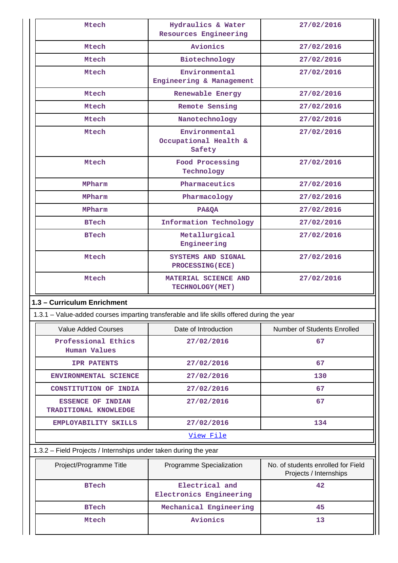| Mtech                                                                                      | Hydraulics & Water<br><b>Resources Engineering</b> | 27/02/2016                                                   |
|--------------------------------------------------------------------------------------------|----------------------------------------------------|--------------------------------------------------------------|
| Mtech                                                                                      | Avionics                                           | 27/02/2016                                                   |
| Mtech                                                                                      | Biotechnology                                      | 27/02/2016                                                   |
| Mtech                                                                                      | Environmental<br>Engineering & Management          | 27/02/2016                                                   |
| Mtech                                                                                      | Renewable Energy                                   | 27/02/2016                                                   |
| Mtech                                                                                      | Remote Sensing                                     | 27/02/2016                                                   |
| Mtech                                                                                      | Nanotechnology                                     | 27/02/2016                                                   |
| Mtech                                                                                      | Environmental<br>Occupational Health &<br>Safety   | 27/02/2016                                                   |
| Mtech                                                                                      | Food Processing<br>Technology                      | 27/02/2016                                                   |
| MPharm                                                                                     | Pharmaceutics                                      | 27/02/2016                                                   |
| MPharm                                                                                     | Pharmacology                                       | 27/02/2016                                                   |
| MPharm                                                                                     | <b>PA&amp;QA</b>                                   | 27/02/2016                                                   |
| <b>BTech</b>                                                                               | Information Technology                             | 27/02/2016                                                   |
| <b>BTech</b>                                                                               | Metallurgical<br>Engineering                       | 27/02/2016                                                   |
| Mtech                                                                                      | SYSTEMS AND SIGNAL<br><b>PROCESSING (ECE)</b>      | 27/02/2016                                                   |
| Mtech                                                                                      | MATERIAL SCIENCE AND<br>TECHNOLOGY (MET)           | 27/02/2016                                                   |
| 1.3 - Curriculum Enrichment                                                                |                                                    |                                                              |
| 1.3.1 - Value-added courses imparting transferable and life skills offered during the year |                                                    |                                                              |
| <b>Value Added Courses</b>                                                                 | Date of Introduction                               | Number of Students Enrolled                                  |
| Professional Ethics<br><b>Human Values</b>                                                 | 27/02/2016                                         | 67                                                           |
| <b>IPR PATENTS</b>                                                                         | 27/02/2016                                         | 67                                                           |
| ENVIRONMENTAL SCIENCE                                                                      | 27/02/2016                                         | 130                                                          |
| CONSTITUTION OF INDIA                                                                      | 27/02/2016                                         | 67                                                           |
| <b>ESSENCE OF INDIAN</b><br>TRADITIONAL KNOWLEDGE                                          | 27/02/2016                                         | 67                                                           |
| EMPLOYABILITY SKILLS                                                                       |                                                    |                                                              |
|                                                                                            | 27/02/2016                                         | 134                                                          |
|                                                                                            | View File                                          |                                                              |
| 1.3.2 - Field Projects / Internships under taken during the year                           |                                                    |                                                              |
| Project/Programme Title                                                                    | Programme Specialization                           | No. of students enrolled for Field<br>Projects / Internships |
| <b>BTech</b>                                                                               | Electrical and<br>Electronics Engineering          | 42                                                           |
| <b>BTech</b>                                                                               | Mechanical Engineering                             | 45                                                           |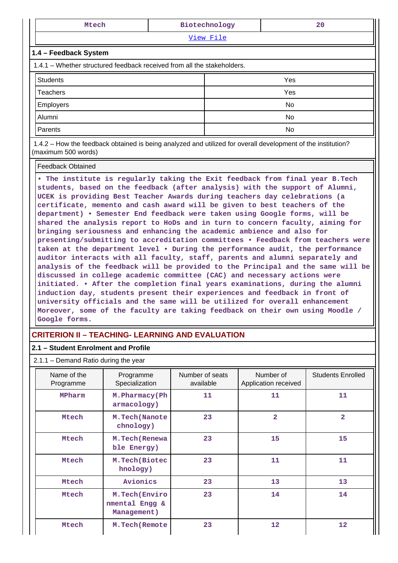| Mtech                                                                                                        |     | Biotechnology<br>20 |     |  |  |  |  |
|--------------------------------------------------------------------------------------------------------------|-----|---------------------|-----|--|--|--|--|
| View File                                                                                                    |     |                     |     |  |  |  |  |
| 1.4 - Feedback System                                                                                        |     |                     |     |  |  |  |  |
| 1.4.1 – Whether structured feedback received from all the stakeholders.                                      |     |                     |     |  |  |  |  |
| <b>Students</b>                                                                                              | Yes |                     |     |  |  |  |  |
| Teachers                                                                                                     |     |                     | Yes |  |  |  |  |
| Employers                                                                                                    |     |                     | No  |  |  |  |  |
| Alumni                                                                                                       |     |                     | No  |  |  |  |  |
| Parents                                                                                                      |     |                     | No  |  |  |  |  |
| 1.4.2 – How the feedback obtained is being analyzed and utilized for overall development of the institution? |     |                     |     |  |  |  |  |

Feedback Obtained

(maximum 500 words)

**• The institute is regularly taking the Exit feedback from final year B.Tech students, based on the feedback (after analysis) with the support of Alumni, UCEK is providing Best Teacher Awards during teachers day celebrations (a certificate, memento and cash award will be given to best teachers of the department) • Semester End feedback were taken using Google forms, will be shared the analysis report to HoDs and in turn to concern faculty, aiming for bringing seriousness and enhancing the academic ambience and also for presenting/submitting to accreditation committees • Feedback from teachers were taken at the department level • During the performance audit, the performance auditor interacts with all faculty, staff, parents and alumni separately and analysis of the feedback will be provided to the Principal and the same will be discussed in college academic committee (CAC) and necessary actions were initiated. • After the completion final years examinations, during the alumni induction day, students present their experiences and feedback in front of university officials and the same will be utilized for overall enhancement Moreover, some of the faculty are taking feedback on their own using Moodle / Google forms.**

#### **CRITERION II – TEACHING- LEARNING AND EVALUATION**

#### **2.1 – Student Enrolment and Profile**

2.1.1 – Demand Ratio during the year

| Name of the<br>Programme | Programme<br>Specialization                     | Number of seats<br>available | Number of<br>Application received | <b>Students Enrolled</b> |
|--------------------------|-------------------------------------------------|------------------------------|-----------------------------------|--------------------------|
| MPharm                   | M. Pharmacy (Ph<br>armacology)                  | 11                           | 11                                | 11                       |
| Mtech                    | M. Tech (Nanote<br>chnology)                    | 23                           | $\overline{\mathbf{2}}$           | $\overline{a}$           |
| Mtech                    | M. Tech (Renewa<br>ble Energy)                  |                              | 15                                | 15                       |
| Mtech                    | M.Tech(Biotec<br>hnology)                       | 23                           | 11                                | 11                       |
| Mtech                    | Avionics                                        | 23                           | 13                                | 13                       |
| Mtech                    | M.Tech (Enviro<br>nmental Engg &<br>Management) | 23                           | 14                                | 14                       |
| <b>Mtech</b>             | M. Tech (Remote                                 | 23                           | 12                                | $12 \overline{ }$        |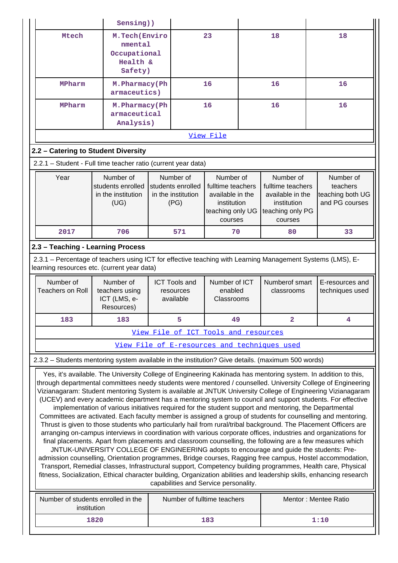|                                                                                                                                                           | Sensing))                                                                                                                                                                                          |                                 |                                                              |                                                                                                  |  |                                                                                                  |                                                                                                                                                                                                                                                                                                                                                                                                                                                                                                                                                                                                                                                                                                                                                                                                                                                                                                                                                                                                                                                                                                                                                                                                                                                                                     |
|-----------------------------------------------------------------------------------------------------------------------------------------------------------|----------------------------------------------------------------------------------------------------------------------------------------------------------------------------------------------------|---------------------------------|--------------------------------------------------------------|--------------------------------------------------------------------------------------------------|--|--------------------------------------------------------------------------------------------------|-------------------------------------------------------------------------------------------------------------------------------------------------------------------------------------------------------------------------------------------------------------------------------------------------------------------------------------------------------------------------------------------------------------------------------------------------------------------------------------------------------------------------------------------------------------------------------------------------------------------------------------------------------------------------------------------------------------------------------------------------------------------------------------------------------------------------------------------------------------------------------------------------------------------------------------------------------------------------------------------------------------------------------------------------------------------------------------------------------------------------------------------------------------------------------------------------------------------------------------------------------------------------------------|
| Mtech                                                                                                                                                     | M.Tech (Enviro<br>nmental<br>Occupational<br>Health &<br>Safety)                                                                                                                                   | 23                              |                                                              |                                                                                                  |  | 18                                                                                               | 18                                                                                                                                                                                                                                                                                                                                                                                                                                                                                                                                                                                                                                                                                                                                                                                                                                                                                                                                                                                                                                                                                                                                                                                                                                                                                  |
| MPharm                                                                                                                                                    |                                                                                                                                                                                                    | M. Pharmacy (Ph<br>armaceutics) |                                                              | 16                                                                                               |  | 16                                                                                               | 16                                                                                                                                                                                                                                                                                                                                                                                                                                                                                                                                                                                                                                                                                                                                                                                                                                                                                                                                                                                                                                                                                                                                                                                                                                                                                  |
| MPharm                                                                                                                                                    | M. Pharmacy (Ph<br>armaceutical<br>Analysis)                                                                                                                                                       |                                 |                                                              | 16                                                                                               |  | 16                                                                                               | 16                                                                                                                                                                                                                                                                                                                                                                                                                                                                                                                                                                                                                                                                                                                                                                                                                                                                                                                                                                                                                                                                                                                                                                                                                                                                                  |
|                                                                                                                                                           |                                                                                                                                                                                                    |                                 |                                                              | View File                                                                                        |  |                                                                                                  |                                                                                                                                                                                                                                                                                                                                                                                                                                                                                                                                                                                                                                                                                                                                                                                                                                                                                                                                                                                                                                                                                                                                                                                                                                                                                     |
| 2.2 - Catering to Student Diversity                                                                                                                       |                                                                                                                                                                                                    |                                 |                                                              |                                                                                                  |  |                                                                                                  |                                                                                                                                                                                                                                                                                                                                                                                                                                                                                                                                                                                                                                                                                                                                                                                                                                                                                                                                                                                                                                                                                                                                                                                                                                                                                     |
| 2.2.1 - Student - Full time teacher ratio (current year data)                                                                                             |                                                                                                                                                                                                    |                                 |                                                              |                                                                                                  |  |                                                                                                  |                                                                                                                                                                                                                                                                                                                                                                                                                                                                                                                                                                                                                                                                                                                                                                                                                                                                                                                                                                                                                                                                                                                                                                                                                                                                                     |
| Year<br>Number of<br>students enrolled<br>in the institution<br>(UG)                                                                                      |                                                                                                                                                                                                    |                                 | Number of<br>students enrolled<br>in the institution<br>(PG) | Number of<br>fulltime teachers<br>available in the<br>institution<br>teaching only UG<br>courses |  | Number of<br>fulltime teachers<br>available in the<br>institution<br>teaching only PG<br>courses | Number of<br>teachers<br>teaching both UG<br>and PG courses                                                                                                                                                                                                                                                                                                                                                                                                                                                                                                                                                                                                                                                                                                                                                                                                                                                                                                                                                                                                                                                                                                                                                                                                                         |
| 2017                                                                                                                                                      | 706                                                                                                                                                                                                |                                 | 571                                                          | 70                                                                                               |  | 80                                                                                               | 33                                                                                                                                                                                                                                                                                                                                                                                                                                                                                                                                                                                                                                                                                                                                                                                                                                                                                                                                                                                                                                                                                                                                                                                                                                                                                  |
| 2.3 - Teaching - Learning Process                                                                                                                         |                                                                                                                                                                                                    |                                 |                                                              |                                                                                                  |  |                                                                                                  |                                                                                                                                                                                                                                                                                                                                                                                                                                                                                                                                                                                                                                                                                                                                                                                                                                                                                                                                                                                                                                                                                                                                                                                                                                                                                     |
| 2.3.1 – Percentage of teachers using ICT for effective teaching with Learning Management Systems (LMS), E-<br>learning resources etc. (current year data) |                                                                                                                                                                                                    |                                 |                                                              |                                                                                                  |  |                                                                                                  |                                                                                                                                                                                                                                                                                                                                                                                                                                                                                                                                                                                                                                                                                                                                                                                                                                                                                                                                                                                                                                                                                                                                                                                                                                                                                     |
|                                                                                                                                                           |                                                                                                                                                                                                    |                                 |                                                              |                                                                                                  |  |                                                                                                  |                                                                                                                                                                                                                                                                                                                                                                                                                                                                                                                                                                                                                                                                                                                                                                                                                                                                                                                                                                                                                                                                                                                                                                                                                                                                                     |
| Number of<br><b>Teachers on Roll</b>                                                                                                                      | Number of<br>teachers using<br>ICT (LMS, e-<br>Resources)                                                                                                                                          |                                 | <b>ICT Tools and</b><br>resources<br>available               | Number of ICT<br>enabled<br>Classrooms                                                           |  | Numberof smart<br>classrooms                                                                     | E-resources and<br>techniques used                                                                                                                                                                                                                                                                                                                                                                                                                                                                                                                                                                                                                                                                                                                                                                                                                                                                                                                                                                                                                                                                                                                                                                                                                                                  |
| 183                                                                                                                                                       | 183                                                                                                                                                                                                |                                 | 5                                                            | 49                                                                                               |  | 2                                                                                                | 4                                                                                                                                                                                                                                                                                                                                                                                                                                                                                                                                                                                                                                                                                                                                                                                                                                                                                                                                                                                                                                                                                                                                                                                                                                                                                   |
|                                                                                                                                                           |                                                                                                                                                                                                    |                                 |                                                              | View File of ICT Tools and resources                                                             |  |                                                                                                  |                                                                                                                                                                                                                                                                                                                                                                                                                                                                                                                                                                                                                                                                                                                                                                                                                                                                                                                                                                                                                                                                                                                                                                                                                                                                                     |
|                                                                                                                                                           |                                                                                                                                                                                                    |                                 |                                                              |                                                                                                  |  | View File of E-resources and techniques used                                                     |                                                                                                                                                                                                                                                                                                                                                                                                                                                                                                                                                                                                                                                                                                                                                                                                                                                                                                                                                                                                                                                                                                                                                                                                                                                                                     |
| 2.3.2 - Students mentoring system available in the institution? Give details. (maximum 500 words)                                                         |                                                                                                                                                                                                    |                                 |                                                              |                                                                                                  |  |                                                                                                  |                                                                                                                                                                                                                                                                                                                                                                                                                                                                                                                                                                                                                                                                                                                                                                                                                                                                                                                                                                                                                                                                                                                                                                                                                                                                                     |
|                                                                                                                                                           | implementation of various initiatives required for the student support and mentoring, the Departmental<br>JNTUK-UNIVERSITY COLLEGE OF ENGINEERING adopts to encourage and guide the students: Pre- |                                 |                                                              | capabilities and Service personality.                                                            |  |                                                                                                  | Yes, it's available. The University College of Engineering Kakinada has mentoring system. In addition to this,<br>through departmental committees needy students were mentored / counselled. University College of Engineering<br>Vizianagaram: Student mentoring System is available at JNTUK University College of Engineering Vizianagaram<br>(UCEV) and every academic department has a mentoring system to council and support students. For effective<br>Committees are activated. Each faculty member is assigned a group of students for counselling and mentoring.<br>Thrust is given to those students who particularly hail from rural/tribal background. The Placement Officers are<br>arranging on-campus interviews in coordination with various corporate offices, industries and organizations for<br>final placements. Apart from placements and classroom counselling, the following are a few measures which<br>admission counselling, Orientation programmes, Bridge courses, Ragging free campus, Hostel accommodation,<br>Transport, Remedial classes, Infrastructural support, Competency building programmes, Health care, Physical<br>fitness, Socialization, Ethical character building, Organization abilities and leadership skills, enhancing research |
| Number of students enrolled in the<br>institution                                                                                                         |                                                                                                                                                                                                    |                                 |                                                              | Number of fulltime teachers                                                                      |  |                                                                                                  | Mentor: Mentee Ratio                                                                                                                                                                                                                                                                                                                                                                                                                                                                                                                                                                                                                                                                                                                                                                                                                                                                                                                                                                                                                                                                                                                                                                                                                                                                |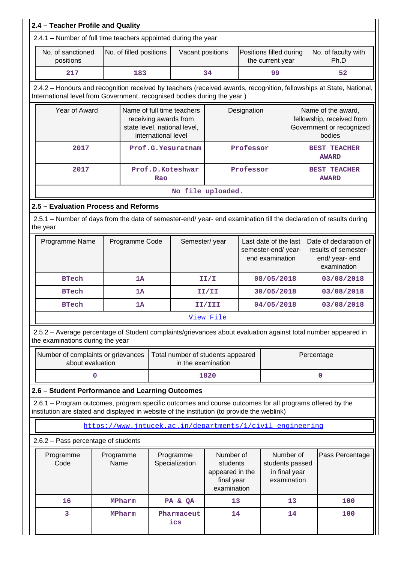| 2.4.1 - Number of full time teachers appointed during the year<br>No. of sanctioned<br>No. of faculty with<br>No. of filled positions<br>Positions filled during<br>Vacant positions<br>positions<br>the current year<br>Ph.D<br>217<br>183<br>34<br>99<br>52<br>2.4.2 - Honours and recognition received by teachers (received awards, recognition, fellowships at State, National,<br>International level from Government, recognised bodies during the year)<br>Year of Award<br>Name of full time teachers<br>Name of the award,<br>Designation<br>fellowship, received from<br>receiving awards from<br>state level, national level,<br>Government or recognized<br>international level<br>bodies<br>2017<br>Prof.G.Yesuratnam<br>Professor<br><b>BEST TEACHER</b><br><b>AWARD</b><br>2017<br>Prof.D.Koteshwar<br>Professor<br><b>BEST TEACHER</b><br><b>AWARD</b><br>Rao<br>No file uploaded.<br>2.5 - Evaluation Process and Reforms<br>2.5.1 – Number of days from the date of semester-end/ year- end examination till the declaration of results during<br>the year<br>Semester/year<br>Date of declaration of<br>Programme Name<br>Programme Code<br>Last date of the last<br>semester-end/year-<br>results of semester-<br>end examination<br>end/ year- end<br>examination<br><b>BTech</b><br>1A<br>II/I<br>08/05/2018<br>03/08/2018<br>1A<br>30/05/2018<br>03/08/2018<br><b>BTech</b><br>II/II<br>04/05/2018<br>03/08/2018<br><b>BTech</b><br>1A<br>II/III<br>View File<br>2.5.2 - Average percentage of Student complaints/grievances about evaluation against total number appeared in<br>the examinations during the year<br>Number of complaints or grievances<br>Total number of students appeared<br>Percentage<br>about evaluation<br>in the examination<br>1820<br>0<br>$\mathbf 0$<br>2.6 - Student Performance and Learning Outcomes<br>2.6.1 – Program outcomes, program specific outcomes and course outcomes for all programs offered by the<br>institution are stated and displayed in website of the institution (to provide the weblink)<br>https://www.intucek.ac.in/departments/1/civil engineering<br>2.6.2 - Pass percentage of students<br>Number of<br>Programme<br>Number of<br>Pass Percentage<br>Programme<br>Programme<br>Code<br>Name<br>Specialization<br>students<br>students passed<br>appeared in the<br>in final year<br>final year<br>examination<br>examination<br>16<br>MPharm<br>13<br>100<br>PA & QA<br>13<br>3<br>14<br>14<br>100<br>MPharm<br>Pharmaceut<br>ics | 2.4 - Teacher Profile and Quality |  |  |  |  |  |  |  |  |  |
|----------------------------------------------------------------------------------------------------------------------------------------------------------------------------------------------------------------------------------------------------------------------------------------------------------------------------------------------------------------------------------------------------------------------------------------------------------------------------------------------------------------------------------------------------------------------------------------------------------------------------------------------------------------------------------------------------------------------------------------------------------------------------------------------------------------------------------------------------------------------------------------------------------------------------------------------------------------------------------------------------------------------------------------------------------------------------------------------------------------------------------------------------------------------------------------------------------------------------------------------------------------------------------------------------------------------------------------------------------------------------------------------------------------------------------------------------------------------------------------------------------------------------------------------------------------------------------------------------------------------------------------------------------------------------------------------------------------------------------------------------------------------------------------------------------------------------------------------------------------------------------------------------------------------------------------------------------------------------------------------------------------------------------------------------------------------------------------------------------------------------------------------------------------------------------------------------------------------------------------------------------------------------------------------------------------------------------------------------------------------------------------------------------------------------------------------------------------------------------------------------------------------|-----------------------------------|--|--|--|--|--|--|--|--|--|
|                                                                                                                                                                                                                                                                                                                                                                                                                                                                                                                                                                                                                                                                                                                                                                                                                                                                                                                                                                                                                                                                                                                                                                                                                                                                                                                                                                                                                                                                                                                                                                                                                                                                                                                                                                                                                                                                                                                                                                                                                                                                                                                                                                                                                                                                                                                                                                                                                                                                                                                      |                                   |  |  |  |  |  |  |  |  |  |
|                                                                                                                                                                                                                                                                                                                                                                                                                                                                                                                                                                                                                                                                                                                                                                                                                                                                                                                                                                                                                                                                                                                                                                                                                                                                                                                                                                                                                                                                                                                                                                                                                                                                                                                                                                                                                                                                                                                                                                                                                                                                                                                                                                                                                                                                                                                                                                                                                                                                                                                      |                                   |  |  |  |  |  |  |  |  |  |
|                                                                                                                                                                                                                                                                                                                                                                                                                                                                                                                                                                                                                                                                                                                                                                                                                                                                                                                                                                                                                                                                                                                                                                                                                                                                                                                                                                                                                                                                                                                                                                                                                                                                                                                                                                                                                                                                                                                                                                                                                                                                                                                                                                                                                                                                                                                                                                                                                                                                                                                      |                                   |  |  |  |  |  |  |  |  |  |
|                                                                                                                                                                                                                                                                                                                                                                                                                                                                                                                                                                                                                                                                                                                                                                                                                                                                                                                                                                                                                                                                                                                                                                                                                                                                                                                                                                                                                                                                                                                                                                                                                                                                                                                                                                                                                                                                                                                                                                                                                                                                                                                                                                                                                                                                                                                                                                                                                                                                                                                      |                                   |  |  |  |  |  |  |  |  |  |
|                                                                                                                                                                                                                                                                                                                                                                                                                                                                                                                                                                                                                                                                                                                                                                                                                                                                                                                                                                                                                                                                                                                                                                                                                                                                                                                                                                                                                                                                                                                                                                                                                                                                                                                                                                                                                                                                                                                                                                                                                                                                                                                                                                                                                                                                                                                                                                                                                                                                                                                      |                                   |  |  |  |  |  |  |  |  |  |
|                                                                                                                                                                                                                                                                                                                                                                                                                                                                                                                                                                                                                                                                                                                                                                                                                                                                                                                                                                                                                                                                                                                                                                                                                                                                                                                                                                                                                                                                                                                                                                                                                                                                                                                                                                                                                                                                                                                                                                                                                                                                                                                                                                                                                                                                                                                                                                                                                                                                                                                      |                                   |  |  |  |  |  |  |  |  |  |
|                                                                                                                                                                                                                                                                                                                                                                                                                                                                                                                                                                                                                                                                                                                                                                                                                                                                                                                                                                                                                                                                                                                                                                                                                                                                                                                                                                                                                                                                                                                                                                                                                                                                                                                                                                                                                                                                                                                                                                                                                                                                                                                                                                                                                                                                                                                                                                                                                                                                                                                      |                                   |  |  |  |  |  |  |  |  |  |
|                                                                                                                                                                                                                                                                                                                                                                                                                                                                                                                                                                                                                                                                                                                                                                                                                                                                                                                                                                                                                                                                                                                                                                                                                                                                                                                                                                                                                                                                                                                                                                                                                                                                                                                                                                                                                                                                                                                                                                                                                                                                                                                                                                                                                                                                                                                                                                                                                                                                                                                      |                                   |  |  |  |  |  |  |  |  |  |
|                                                                                                                                                                                                                                                                                                                                                                                                                                                                                                                                                                                                                                                                                                                                                                                                                                                                                                                                                                                                                                                                                                                                                                                                                                                                                                                                                                                                                                                                                                                                                                                                                                                                                                                                                                                                                                                                                                                                                                                                                                                                                                                                                                                                                                                                                                                                                                                                                                                                                                                      |                                   |  |  |  |  |  |  |  |  |  |
|                                                                                                                                                                                                                                                                                                                                                                                                                                                                                                                                                                                                                                                                                                                                                                                                                                                                                                                                                                                                                                                                                                                                                                                                                                                                                                                                                                                                                                                                                                                                                                                                                                                                                                                                                                                                                                                                                                                                                                                                                                                                                                                                                                                                                                                                                                                                                                                                                                                                                                                      |                                   |  |  |  |  |  |  |  |  |  |
|                                                                                                                                                                                                                                                                                                                                                                                                                                                                                                                                                                                                                                                                                                                                                                                                                                                                                                                                                                                                                                                                                                                                                                                                                                                                                                                                                                                                                                                                                                                                                                                                                                                                                                                                                                                                                                                                                                                                                                                                                                                                                                                                                                                                                                                                                                                                                                                                                                                                                                                      |                                   |  |  |  |  |  |  |  |  |  |
|                                                                                                                                                                                                                                                                                                                                                                                                                                                                                                                                                                                                                                                                                                                                                                                                                                                                                                                                                                                                                                                                                                                                                                                                                                                                                                                                                                                                                                                                                                                                                                                                                                                                                                                                                                                                                                                                                                                                                                                                                                                                                                                                                                                                                                                                                                                                                                                                                                                                                                                      |                                   |  |  |  |  |  |  |  |  |  |
|                                                                                                                                                                                                                                                                                                                                                                                                                                                                                                                                                                                                                                                                                                                                                                                                                                                                                                                                                                                                                                                                                                                                                                                                                                                                                                                                                                                                                                                                                                                                                                                                                                                                                                                                                                                                                                                                                                                                                                                                                                                                                                                                                                                                                                                                                                                                                                                                                                                                                                                      |                                   |  |  |  |  |  |  |  |  |  |
|                                                                                                                                                                                                                                                                                                                                                                                                                                                                                                                                                                                                                                                                                                                                                                                                                                                                                                                                                                                                                                                                                                                                                                                                                                                                                                                                                                                                                                                                                                                                                                                                                                                                                                                                                                                                                                                                                                                                                                                                                                                                                                                                                                                                                                                                                                                                                                                                                                                                                                                      |                                   |  |  |  |  |  |  |  |  |  |
|                                                                                                                                                                                                                                                                                                                                                                                                                                                                                                                                                                                                                                                                                                                                                                                                                                                                                                                                                                                                                                                                                                                                                                                                                                                                                                                                                                                                                                                                                                                                                                                                                                                                                                                                                                                                                                                                                                                                                                                                                                                                                                                                                                                                                                                                                                                                                                                                                                                                                                                      |                                   |  |  |  |  |  |  |  |  |  |
|                                                                                                                                                                                                                                                                                                                                                                                                                                                                                                                                                                                                                                                                                                                                                                                                                                                                                                                                                                                                                                                                                                                                                                                                                                                                                                                                                                                                                                                                                                                                                                                                                                                                                                                                                                                                                                                                                                                                                                                                                                                                                                                                                                                                                                                                                                                                                                                                                                                                                                                      |                                   |  |  |  |  |  |  |  |  |  |
|                                                                                                                                                                                                                                                                                                                                                                                                                                                                                                                                                                                                                                                                                                                                                                                                                                                                                                                                                                                                                                                                                                                                                                                                                                                                                                                                                                                                                                                                                                                                                                                                                                                                                                                                                                                                                                                                                                                                                                                                                                                                                                                                                                                                                                                                                                                                                                                                                                                                                                                      |                                   |  |  |  |  |  |  |  |  |  |
|                                                                                                                                                                                                                                                                                                                                                                                                                                                                                                                                                                                                                                                                                                                                                                                                                                                                                                                                                                                                                                                                                                                                                                                                                                                                                                                                                                                                                                                                                                                                                                                                                                                                                                                                                                                                                                                                                                                                                                                                                                                                                                                                                                                                                                                                                                                                                                                                                                                                                                                      |                                   |  |  |  |  |  |  |  |  |  |
|                                                                                                                                                                                                                                                                                                                                                                                                                                                                                                                                                                                                                                                                                                                                                                                                                                                                                                                                                                                                                                                                                                                                                                                                                                                                                                                                                                                                                                                                                                                                                                                                                                                                                                                                                                                                                                                                                                                                                                                                                                                                                                                                                                                                                                                                                                                                                                                                                                                                                                                      |                                   |  |  |  |  |  |  |  |  |  |
|                                                                                                                                                                                                                                                                                                                                                                                                                                                                                                                                                                                                                                                                                                                                                                                                                                                                                                                                                                                                                                                                                                                                                                                                                                                                                                                                                                                                                                                                                                                                                                                                                                                                                                                                                                                                                                                                                                                                                                                                                                                                                                                                                                                                                                                                                                                                                                                                                                                                                                                      |                                   |  |  |  |  |  |  |  |  |  |
|                                                                                                                                                                                                                                                                                                                                                                                                                                                                                                                                                                                                                                                                                                                                                                                                                                                                                                                                                                                                                                                                                                                                                                                                                                                                                                                                                                                                                                                                                                                                                                                                                                                                                                                                                                                                                                                                                                                                                                                                                                                                                                                                                                                                                                                                                                                                                                                                                                                                                                                      |                                   |  |  |  |  |  |  |  |  |  |
|                                                                                                                                                                                                                                                                                                                                                                                                                                                                                                                                                                                                                                                                                                                                                                                                                                                                                                                                                                                                                                                                                                                                                                                                                                                                                                                                                                                                                                                                                                                                                                                                                                                                                                                                                                                                                                                                                                                                                                                                                                                                                                                                                                                                                                                                                                                                                                                                                                                                                                                      |                                   |  |  |  |  |  |  |  |  |  |
|                                                                                                                                                                                                                                                                                                                                                                                                                                                                                                                                                                                                                                                                                                                                                                                                                                                                                                                                                                                                                                                                                                                                                                                                                                                                                                                                                                                                                                                                                                                                                                                                                                                                                                                                                                                                                                                                                                                                                                                                                                                                                                                                                                                                                                                                                                                                                                                                                                                                                                                      |                                   |  |  |  |  |  |  |  |  |  |
|                                                                                                                                                                                                                                                                                                                                                                                                                                                                                                                                                                                                                                                                                                                                                                                                                                                                                                                                                                                                                                                                                                                                                                                                                                                                                                                                                                                                                                                                                                                                                                                                                                                                                                                                                                                                                                                                                                                                                                                                                                                                                                                                                                                                                                                                                                                                                                                                                                                                                                                      |                                   |  |  |  |  |  |  |  |  |  |
|                                                                                                                                                                                                                                                                                                                                                                                                                                                                                                                                                                                                                                                                                                                                                                                                                                                                                                                                                                                                                                                                                                                                                                                                                                                                                                                                                                                                                                                                                                                                                                                                                                                                                                                                                                                                                                                                                                                                                                                                                                                                                                                                                                                                                                                                                                                                                                                                                                                                                                                      |                                   |  |  |  |  |  |  |  |  |  |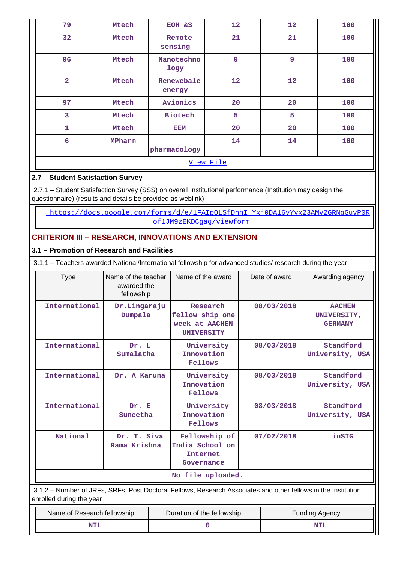| 79                      | Mtech     | EOH &S               | 12 | 12 | 100 |  |  |  |
|-------------------------|-----------|----------------------|----|----|-----|--|--|--|
| 32                      | Mtech     | Remote<br>sensing    | 21 | 21 | 100 |  |  |  |
| 96                      | Mtech     | Nanotechno<br>logy   | 9  | 9  | 100 |  |  |  |
| $\overline{\mathbf{2}}$ | Mtech     | Renewebale<br>energy | 12 | 12 | 100 |  |  |  |
| 97                      | Mtech     | Avionics             | 20 | 20 | 100 |  |  |  |
| 3                       | Mtech     | <b>Biotech</b>       | 5  | 5  | 100 |  |  |  |
| $\mathbf 1$             | Mtech     | <b>EEM</b>           | 20 | 20 | 100 |  |  |  |
| $6\overline{6}$         | MPharm    | pharmacology         | 14 | 14 | 100 |  |  |  |
|                         | View File |                      |    |    |     |  |  |  |

# **2.7 – Student Satisfaction Survey**

 2.7.1 – Student Satisfaction Survey (SSS) on overall institutional performance (Institution may design the questionnaire) (results and details be provided as weblink)

https://docs.google.com/forms/d/e/1FAIpQLSfDnhI\_Yxj0DA16yYyx23AMv2GRNgGuvP0R of1JM9zEKDCgag/viewform

# **CRITERION III – RESEARCH, INNOVATIONS AND EXTENSION**

## **3.1 – Promotion of Research and Facilities**

3.1.1 – Teachers awarded National/International fellowship for advanced studies/ research during the year

| <b>Type</b>                                                                                                                               | Name of the teacher<br>awarded the<br>fellowship | Name of the award                                                  | Date of award | Awarding agency                                |  |
|-------------------------------------------------------------------------------------------------------------------------------------------|--------------------------------------------------|--------------------------------------------------------------------|---------------|------------------------------------------------|--|
| International                                                                                                                             | Dr.Lingaraju<br>Dumpala                          | Research<br>fellow ship one<br>week at AACHEN<br><b>UNIVERSITY</b> | 08/03/2018    | <b>AACHEN</b><br>UNIVERSITY,<br><b>GERMANY</b> |  |
| International                                                                                                                             | Dr. L<br>Sumalatha                               | University<br>Innovation<br>Fellows                                | 08/03/2018    | Standford<br>University, USA                   |  |
| International                                                                                                                             | Dr. A Karuna                                     | University<br>Innovation<br><b>Fellows</b>                         | 08/03/2018    | Standford<br>University, USA                   |  |
| International                                                                                                                             | Dr. E<br>Suneetha                                | University<br>Innovation<br><b>Fellows</b>                         | 08/03/2018    | Standford<br>University, USA                   |  |
| National                                                                                                                                  | Dr. T. Siva<br>Rama Krishna                      | Fellowship of<br>India School on<br>Internet<br>Governance         | 07/02/2018    | inSIG                                          |  |
|                                                                                                                                           |                                                  | No file uploaded.                                                  |               |                                                |  |
| 3.1.2 – Number of JRFs, SRFs, Post Doctoral Fellows, Research Associates and other fellows in the Institution<br>enrolled during the year |                                                  |                                                                    |               |                                                |  |

| Name of Research fellowship | Duration of the fellowship | <b>Funding Agency</b> |  |
|-----------------------------|----------------------------|-----------------------|--|
|                             |                            | NII                   |  |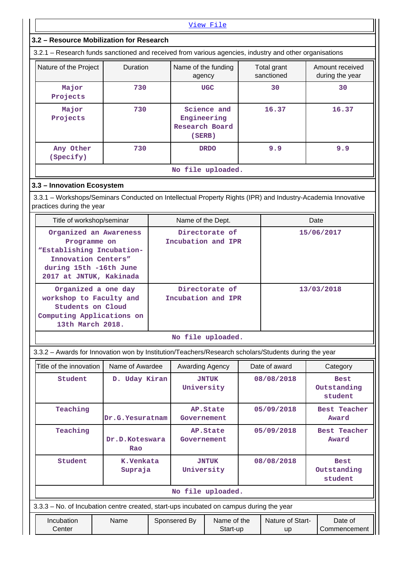|                                                                                                                                                                                                       | View File                                                                                                 |                 |                                         |                   |                                      |       |                        |                                       |  |  |
|-------------------------------------------------------------------------------------------------------------------------------------------------------------------------------------------------------|-----------------------------------------------------------------------------------------------------------|-----------------|-----------------------------------------|-------------------|--------------------------------------|-------|------------------------|---------------------------------------|--|--|
| 3.2 - Resource Mobilization for Research                                                                                                                                                              |                                                                                                           |                 |                                         |                   |                                      |       |                        |                                       |  |  |
| 3.2.1 - Research funds sanctioned and received from various agencies, industry and other organisations                                                                                                |                                                                                                           |                 |                                         |                   |                                      |       |                        |                                       |  |  |
| Duration<br>Name of the funding<br>Nature of the Project<br>Total grant<br>Amount received<br>sanctioned<br>during the year<br>agency                                                                 |                                                                                                           |                 |                                         |                   |                                      |       |                        |                                       |  |  |
| Major<br>Projects                                                                                                                                                                                     |                                                                                                           | 730             |                                         |                   | <b>UGC</b>                           |       | 30                     | 30                                    |  |  |
| Major<br>Projects                                                                                                                                                                                     | 730                                                                                                       |                 | Engineering<br>Research Board<br>(SERB) | Science and       |                                      | 16.37 | 16.37                  |                                       |  |  |
| Any Other<br>(Specify)                                                                                                                                                                                |                                                                                                           | 730             |                                         |                   | <b>DRDO</b>                          |       | 9.9                    | 9.9                                   |  |  |
|                                                                                                                                                                                                       |                                                                                                           |                 |                                         |                   | No file uploaded.                    |       |                        |                                       |  |  |
| 3.3 - Innovation Ecosystem<br>3.3.1 – Workshops/Seminars Conducted on Intellectual Property Rights (IPR) and Industry-Academia Innovative<br>practices during the year                                |                                                                                                           |                 |                                         |                   |                                      |       |                        |                                       |  |  |
| Title of workshop/seminar                                                                                                                                                                             |                                                                                                           |                 |                                         | Name of the Dept. |                                      |       |                        | Date                                  |  |  |
| Organized an Awareness<br>Directorate of<br>15/06/2017<br>Incubation and IPR<br>Programme on<br>"Establishing Incubation-<br>Innovation Centers"<br>during 15th -16th June<br>2017 at JNTUK, Kakinada |                                                                                                           |                 |                                         |                   |                                      |       |                        |                                       |  |  |
| Organized a one day<br>workshop to Faculty and<br><b>Students on Cloud</b><br>Computing Applications on<br>13th March 2018.                                                                           |                                                                                                           |                 |                                         |                   | Directorate of<br>Incubation and IPR |       |                        | 13/03/2018                            |  |  |
|                                                                                                                                                                                                       |                                                                                                           |                 |                                         |                   | No file uploaded.                    |       |                        |                                       |  |  |
| 3.3.2 - Awards for Innovation won by Institution/Teachers/Research scholars/Students during the year                                                                                                  |                                                                                                           |                 |                                         |                   |                                      |       |                        |                                       |  |  |
| Title of the innovation                                                                                                                                                                               |                                                                                                           | Name of Awardee |                                         | Awarding Agency   |                                      |       | Date of award          | Category                              |  |  |
| Student                                                                                                                                                                                               |                                                                                                           | D. Uday Kiran   |                                         | University        | <b>JNTUK</b>                         |       | 08/08/2018             | <b>Best</b><br>Outstanding<br>student |  |  |
| Teaching                                                                                                                                                                                              |                                                                                                           | Dr.G.Yesuratnam |                                         | Governement       | AP.State                             |       | 05/09/2018             | <b>Best Teacher</b><br>Award          |  |  |
| Teaching<br>Dr.D.Koteswara<br>Rao                                                                                                                                                                     |                                                                                                           |                 |                                         | Governement       | AP.State                             |       | 05/09/2018             | <b>Best Teacher</b><br>Award          |  |  |
| Student                                                                                                                                                                                               | 08/08/2018<br>K.Venkata<br><b>JNTUK</b><br><b>Best</b><br>Supraja<br>University<br>Outstanding<br>student |                 |                                         |                   |                                      |       |                        |                                       |  |  |
|                                                                                                                                                                                                       |                                                                                                           |                 |                                         |                   | No file uploaded.                    |       |                        |                                       |  |  |
| 3.3.3 - No. of Incubation centre created, start-ups incubated on campus during the year                                                                                                               |                                                                                                           |                 |                                         |                   |                                      |       |                        |                                       |  |  |
| Incubation<br>Center                                                                                                                                                                                  |                                                                                                           | Name            |                                         | Sponsered By      | Name of the<br>Start-up              |       | Nature of Start-<br>up | Date of<br>Commencement               |  |  |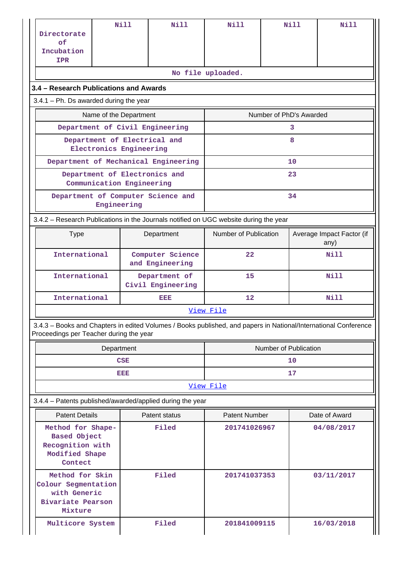| Directorate<br>of<br>Incubation<br><b>IPR</b>                                                          |             | Nill                      | Nill                                 | Nill                                                                                                            |                         | Nill        | Nill                              |  |
|--------------------------------------------------------------------------------------------------------|-------------|---------------------------|--------------------------------------|-----------------------------------------------------------------------------------------------------------------|-------------------------|-------------|-----------------------------------|--|
|                                                                                                        |             |                           |                                      | No file uploaded.                                                                                               |                         |             |                                   |  |
| 3.4 - Research Publications and Awards                                                                 |             |                           |                                      |                                                                                                                 |                         |             |                                   |  |
| $3.4.1$ – Ph. Ds awarded during the year                                                               |             |                           |                                      |                                                                                                                 |                         |             |                                   |  |
|                                                                                                        |             | Name of the Department    |                                      |                                                                                                                 | Number of PhD's Awarded |             |                                   |  |
|                                                                                                        |             |                           | Department of Civil Engineering      |                                                                                                                 |                         | 3           |                                   |  |
|                                                                                                        |             | Electronics Engineering   | Department of Electrical and         |                                                                                                                 |                         | 8           |                                   |  |
|                                                                                                        |             |                           | Department of Mechanical Engineering |                                                                                                                 |                         | 10          |                                   |  |
|                                                                                                        |             | Communication Engineering | Department of Electronics and        |                                                                                                                 |                         | 23          |                                   |  |
|                                                                                                        | Engineering |                           | Department of Computer Science and   |                                                                                                                 |                         | 34          |                                   |  |
|                                                                                                        |             |                           |                                      | 3.4.2 - Research Publications in the Journals notified on UGC website during the year                           |                         |             |                                   |  |
| <b>Type</b>                                                                                            |             |                           | Department                           | Number of Publication                                                                                           |                         |             | Average Impact Factor (if<br>any) |  |
| International                                                                                          |             |                           | Computer Science<br>and Engineering  | 22                                                                                                              | Nill                    |             |                                   |  |
| International                                                                                          |             |                           | Department of<br>Civil Engineering   | 15                                                                                                              |                         | <b>Nill</b> |                                   |  |
| International                                                                                          |             |                           | eisia                                | <b>Nill</b><br>12                                                                                               |                         |             |                                   |  |
|                                                                                                        |             |                           |                                      | View File                                                                                                       |                         |             |                                   |  |
| Proceedings per Teacher during the year                                                                |             |                           |                                      | 3.4.3 - Books and Chapters in edited Volumes / Books published, and papers in National/International Conference |                         |             |                                   |  |
|                                                                                                        | Department  |                           |                                      | Number of Publication                                                                                           |                         |             |                                   |  |
|                                                                                                        |             | CSE                       |                                      | 10                                                                                                              |                         |             |                                   |  |
|                                                                                                        |             | eisia                     |                                      | 17                                                                                                              |                         |             |                                   |  |
|                                                                                                        |             |                           |                                      | View File                                                                                                       |                         |             |                                   |  |
| 3.4.4 - Patents published/awarded/applied during the year                                              |             |                           |                                      |                                                                                                                 |                         |             |                                   |  |
| <b>Patent Details</b>                                                                                  |             |                           | Patent status                        | <b>Patent Number</b>                                                                                            |                         |             | Date of Award                     |  |
| Filed<br>Method for Shape-<br><b>Based Object</b><br>Recognition with<br>Modified Shape<br>Contect     |             |                           |                                      | 201741026967                                                                                                    |                         |             | 04/08/2017                        |  |
| Method for Skin<br>Filed<br>Colour Segmentation<br>with Generic<br><b>Bivariate Pearson</b><br>Mixture |             |                           |                                      | 201741037353                                                                                                    |                         |             | 03/11/2017                        |  |
| Multicore System                                                                                       |             |                           | Filed                                | 201841009115                                                                                                    |                         |             | 16/03/2018                        |  |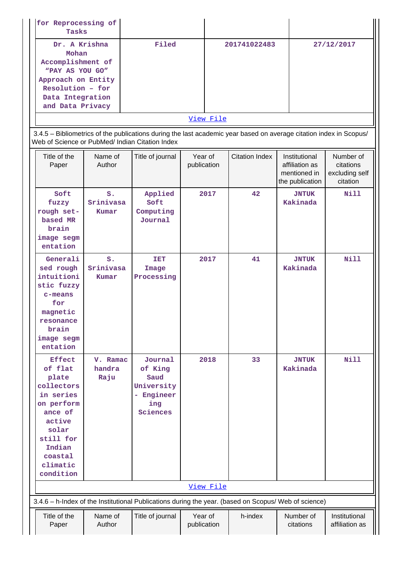| for Reprocessing of<br>Tasks                                                                                                                     |       |              |            |
|--------------------------------------------------------------------------------------------------------------------------------------------------|-------|--------------|------------|
| Dr. A Krishna<br>Mohan<br>Accomplishment of<br>"PAY AS YOU GO"<br>Approach on Entity<br>Resolution - for<br>Data Integration<br>and Data Privacy | Filed | 201741022483 | 27/12/2017 |
|                                                                                                                                                  |       | View File    |            |

 3.4.5 – Bibliometrics of the publications during the last academic year based on average citation index in Scopus/ Web of Science or PubMed/ Indian Citation Index

| Title of the<br>Paper                                                                                                                                               | Name of<br>Author                    | Title of journal                                                          | Year of<br>publication | <b>Citation Index</b> | Institutional<br>affiliation as<br>mentioned in<br>the publication | Number of<br>citations<br>excluding self<br>citation |
|---------------------------------------------------------------------------------------------------------------------------------------------------------------------|--------------------------------------|---------------------------------------------------------------------------|------------------------|-----------------------|--------------------------------------------------------------------|------------------------------------------------------|
| Soft<br>fuzzy<br>rough set-<br>based MR<br>brain<br>image segm<br>entation                                                                                          | S <sub>1</sub><br>Srinivasa<br>Kumar | Applied<br>Soft<br>Computing<br>Journal                                   | 2017                   | 42                    | <b>JNTUK</b><br>Kakinada                                           | <b>Nill</b>                                          |
| Generali<br>sed rough<br>intuitioni<br>stic fuzzy<br>$c$ -means<br>for<br>magnetic<br>resonance<br>brain<br>image segm<br>entation                                  | $S$ .<br>Srinivasa<br>Kumar          | <b>TET</b><br>Image<br>Processing                                         | 2017                   | 41                    | <b>JNTUK</b><br>Kakinada                                           | <b>Nill</b>                                          |
| <b>Effect</b><br>of flat<br>plate<br>collectors<br>in series<br>on perform<br>ance of<br>active<br>solar<br>still for<br>Indian<br>coastal<br>climatic<br>condition | V. Ramac<br>handra<br>Raju           | Journal<br>of King<br>Saud<br>University<br>- Engineer<br>ing<br>Sciences | 2018                   | 33                    | <b>JNTUK</b><br>Kakinada                                           | <b>Nill</b>                                          |
|                                                                                                                                                                     |                                      |                                                                           | View File              |                       |                                                                    |                                                      |
| 3.4.6 - h-Index of the Institutional Publications during the year. (based on Scopus/ Web of science)                                                                |                                      |                                                                           |                        |                       |                                                                    |                                                      |
| Title of the<br>Paper                                                                                                                                               | Name of<br>Author                    | Title of journal                                                          | Year of<br>publication | h-index               | Number of<br>citations                                             | Institutional<br>affiliation as                      |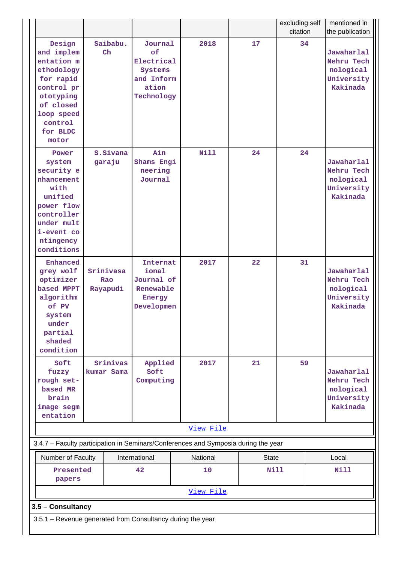|                                                                                                                                                     |                              |                           |                                                                             |                                                                                    |    | excluding self<br>citation | mentioned in<br>the publication                                 |  |
|-----------------------------------------------------------------------------------------------------------------------------------------------------|------------------------------|---------------------------|-----------------------------------------------------------------------------|------------------------------------------------------------------------------------|----|----------------------------|-----------------------------------------------------------------|--|
| Design<br>and implem<br>entation m<br>ethodology<br>for rapid<br>control pr<br>ototyping<br>of closed<br>loop speed<br>control<br>for BLDC<br>motor |                              | Saibabu.<br>$\mathbf{Ch}$ | Journal<br>of<br>Electrical<br>Systems<br>and Inform<br>ation<br>Technology | 2018                                                                               | 17 | 34                         | Jawaharlal<br>Nehru Tech<br>nological<br>University<br>Kakinada |  |
| Power<br>system<br>security e<br>nhancement<br>with<br>unified<br>power flow<br>controller<br>under mult<br>i-event co<br>ntingency<br>conditions   |                              | S.Sivana<br>garaju        | Ain<br>Shams Engi<br>neering<br>Journal                                     | Nill                                                                               | 24 | 24                         | Jawaharlal<br>Nehru Tech<br>nological<br>University<br>Kakinada |  |
| Enhanced<br>grey wolf<br>optimizer<br>based MPPT<br>algorithm<br>of PV<br>system<br>under<br>partial<br>shaded<br>condition                         | Srinivasa<br>Rao<br>Rayapudi |                           | Internat<br>ional<br>Journal of<br>Renewable<br>Energy<br>Developmen        | 2017                                                                               | 22 | 31                         | Jawaharlal<br>Nehru Tech<br>nological<br>University<br>Kakinada |  |
| Soft<br>fuzzy<br>rough set-<br>based MR<br>brain<br>image segm<br>entation                                                                          |                              | Srinivas<br>kumar Sama    | Applied<br>Soft<br>Computing                                                | 2017                                                                               | 21 | 59                         | Jawaharlal<br>Nehru Tech<br>nological<br>University<br>Kakinada |  |
|                                                                                                                                                     |                              |                           |                                                                             | View File                                                                          |    |                            |                                                                 |  |
|                                                                                                                                                     |                              |                           |                                                                             | 3.4.7 - Faculty participation in Seminars/Conferences and Symposia during the year |    |                            |                                                                 |  |
| International<br>Number of Faculty<br>42<br>Presented<br>papers                                                                                     |                              |                           | National<br>10                                                              | <b>State</b><br><b>Nill</b>                                                        |    | Local<br><b>Nill</b>       |                                                                 |  |
| View File                                                                                                                                           |                              |                           |                                                                             |                                                                                    |    |                            |                                                                 |  |
| 3.5 - Consultancy                                                                                                                                   |                              |                           |                                                                             |                                                                                    |    |                            |                                                                 |  |
| 3.5.1 - Revenue generated from Consultancy during the year                                                                                          |                              |                           |                                                                             |                                                                                    |    |                            |                                                                 |  |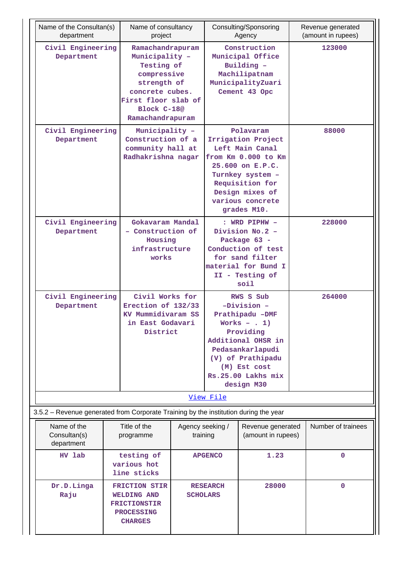| department                                                                           | Name of the Consultan(s)<br>Name of consultancy<br>project                                               |                                                                                                                                                             |                                    |                                                                                                                                                                                                     | Consulting/Sponsoring<br>Agency         |        | Revenue generated<br>(amount in rupees) |
|--------------------------------------------------------------------------------------|----------------------------------------------------------------------------------------------------------|-------------------------------------------------------------------------------------------------------------------------------------------------------------|------------------------------------|-----------------------------------------------------------------------------------------------------------------------------------------------------------------------------------------------------|-----------------------------------------|--------|-----------------------------------------|
| Civil Engineering<br>Department                                                      |                                                                                                          | Ramachandrapuram<br>Municipality -<br>Testing of<br>compressive<br>strength of<br>concrete cubes.<br>First floor slab of<br>Block C-18@<br>Ramachandrapuram |                                    | Construction<br>Municipal Office<br>Building -<br>Machilipatnam<br>MunicipalityZuari<br>Cement 43 Opc                                                                                               |                                         | 123000 |                                         |
| Civil Engineering<br>Department                                                      |                                                                                                          | Municipality -<br>Construction of a<br>community hall at<br>Radhakrishna nagar                                                                              |                                    | Polavaram<br>Irrigation Project<br>Left Main Canal<br>from Km 0.000 to Km<br>25.600 on E.P.C.<br>Turnkey system -<br>Requisition for<br>Design mixes of<br>various concrete<br>grades M10.          |                                         |        | 88000                                   |
| Civil Engineering<br>Department                                                      |                                                                                                          | Gokavaram Mandal<br>- Construction of<br>Housing<br>infrastructure<br>works                                                                                 |                                    | : WRD PIPHW -<br>Division No.2 -<br>Package 63 -<br>Conduction of test<br>for sand filter<br>material for Bund I<br>II - Testing of<br>soil                                                         |                                         |        | 228000                                  |
| Civil Engineering<br>Department                                                      |                                                                                                          | Civil Works for<br>Erection of 132/33<br>KV Mummidivaram SS<br>in East Godavari<br>District                                                                 |                                    | RWS S Sub<br>$-Division -$<br>Prathipadu -DMF<br>Works - $\cdot$ 1)<br>Providing<br>Additional OHSR in<br>Pedasankarlapudi<br>(V) of Prathipadu<br>(M) Est cost<br>Rs.25.00 Lakhs mix<br>design M30 |                                         | 264000 |                                         |
|                                                                                      |                                                                                                          |                                                                                                                                                             |                                    | View File                                                                                                                                                                                           |                                         |        |                                         |
| 3.5.2 - Revenue generated from Corporate Training by the institution during the year |                                                                                                          |                                                                                                                                                             |                                    |                                                                                                                                                                                                     |                                         |        |                                         |
| Name of the<br>Consultan(s)<br>department                                            |                                                                                                          | Title of the<br>programme                                                                                                                                   | Agency seeking /<br>training       |                                                                                                                                                                                                     | Revenue generated<br>(amount in rupees) |        | Number of trainees                      |
| HV lab                                                                               |                                                                                                          | testing of<br>various hot<br>line sticks                                                                                                                    |                                    | <b>APGENCO</b>                                                                                                                                                                                      | 1.23                                    |        | $\mathbf 0$                             |
| Dr.D.Linga<br>Raju                                                                   | <b>FRICTION STIR</b><br><b>WELDING AND</b><br><b>FRICTIONSTIR</b><br><b>PROCESSING</b><br><b>CHARGES</b> |                                                                                                                                                             | <b>RESEARCH</b><br><b>SCHOLARS</b> |                                                                                                                                                                                                     | 28000                                   |        | $\mathbf{0}$                            |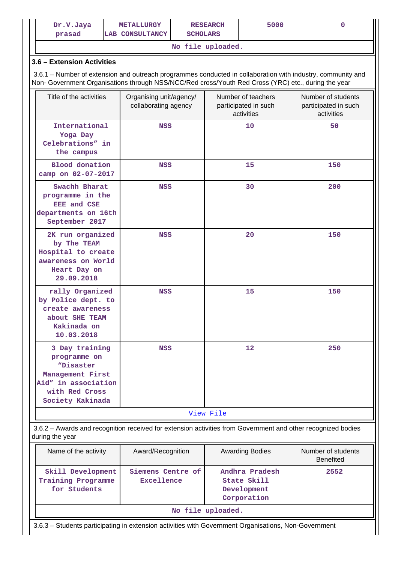| Dr.V.Jaya<br>prasad                                                                                                                                                                                                | <b>METALLURGY</b><br><b>LAB CONSULTANCY</b>     | <b>RESEARCH</b><br><b>SCHOLARS</b> |                                                          | 5000 | 0                                                        |  |
|--------------------------------------------------------------------------------------------------------------------------------------------------------------------------------------------------------------------|-------------------------------------------------|------------------------------------|----------------------------------------------------------|------|----------------------------------------------------------|--|
|                                                                                                                                                                                                                    |                                                 | No file uploaded.                  |                                                          |      |                                                          |  |
| 3.6 - Extension Activities                                                                                                                                                                                         |                                                 |                                    |                                                          |      |                                                          |  |
| 3.6.1 – Number of extension and outreach programmes conducted in collaboration with industry, community and<br>Non- Government Organisations through NSS/NCC/Red cross/Youth Red Cross (YRC) etc., during the year |                                                 |                                    |                                                          |      |                                                          |  |
| Title of the activities                                                                                                                                                                                            | Organising unit/agency/<br>collaborating agency |                                    | Number of teachers<br>participated in such<br>activities |      | Number of students<br>participated in such<br>activities |  |
| International<br>Yoga Day<br>Celebrations" in<br>the campus                                                                                                                                                        | <b>NSS</b>                                      |                                    | 10                                                       |      | 50                                                       |  |
| <b>Blood</b> donation<br>camp on 02-07-2017                                                                                                                                                                        | <b>NSS</b>                                      |                                    | 15                                                       |      | 150                                                      |  |
| Swachh Bharat<br>programme in the<br><b>EEE</b> and CSE<br>departments on 16th<br>September 2017                                                                                                                   | <b>NSS</b>                                      |                                    | 30                                                       |      | 200                                                      |  |
| 2K run organized<br>by The TEAM<br>Hospital to create<br>awareness on World<br>Heart Day on<br>29.09.2018                                                                                                          | <b>NSS</b>                                      |                                    | 20                                                       |      | 150                                                      |  |
| rally Organized<br>by Police dept. to<br>create awareness<br>about SHE TEAM<br>Kakinada on<br>10.03.2018                                                                                                           | <b>NSS</b>                                      |                                    | 15                                                       |      | 150                                                      |  |
| 3 Day training<br>programme on<br>"Disaster<br>Management First<br>Aid" in association<br>with Red Cross<br>Society Kakinada                                                                                       | <b>NSS</b>                                      |                                    | 12                                                       |      | 250                                                      |  |
|                                                                                                                                                                                                                    |                                                 | View File                          |                                                          |      |                                                          |  |
| 3.6.2 - Awards and recognition received for extension activities from Government and other recognized bodies                                                                                                       |                                                 |                                    |                                                          |      |                                                          |  |

| Name of the activity                                    | Award/Recognition               | <b>Awarding Bodies</b>                                      | Number of students<br><b>Benefited</b> |  |  |  |  |
|---------------------------------------------------------|---------------------------------|-------------------------------------------------------------|----------------------------------------|--|--|--|--|
| Skill Development<br>Training Programme<br>for Students | Siemens Centre of<br>Excellence | Andhra Pradesh<br>State Skill<br>Development<br>Corporation | 2552                                   |  |  |  |  |
| No file uploaded.                                       |                                 |                                                             |                                        |  |  |  |  |

3.6.3 – Students participating in extension activities with Government Organisations, Non-Government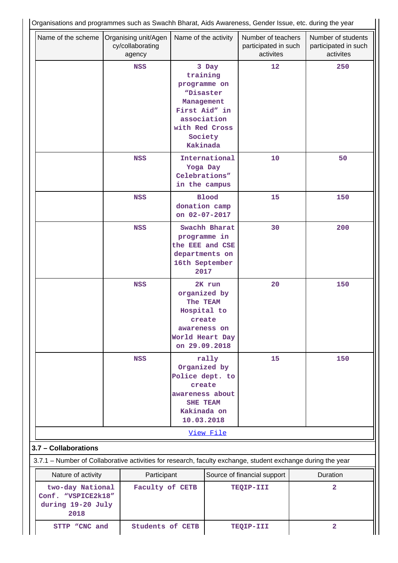| Name of the scheme                                                  | Organising unit/Agen<br>cy/collaborating<br>agency                                                          | Name of the activity                                                                                                         |                                                             | Number of teachers<br>participated in such<br>activites | Number of students<br>participated in such<br>activites |
|---------------------------------------------------------------------|-------------------------------------------------------------------------------------------------------------|------------------------------------------------------------------------------------------------------------------------------|-------------------------------------------------------------|---------------------------------------------------------|---------------------------------------------------------|
|                                                                     | <b>NSS</b>                                                                                                  | training<br>programme on<br>"Disaster<br>Management<br>First Aid" in<br>association<br>with Red Cross<br>Society<br>Kakinada | 3 Day                                                       | 12                                                      | 250                                                     |
|                                                                     | <b>NSS</b>                                                                                                  |                                                                                                                              | International<br>Yoga Day<br>Celebrations"<br>in the campus | 10                                                      | 50                                                      |
|                                                                     | <b>NSS</b>                                                                                                  | <b>Blood</b><br>donation camp<br>on 02-07-2017                                                                               |                                                             | 15                                                      | 150                                                     |
|                                                                     | <b>NSS</b>                                                                                                  | programme in<br>the EEE and CSE<br>departments on<br>16th September<br>2017                                                  | Swachh Bharat                                               | 30                                                      | 200                                                     |
|                                                                     | <b>NSS</b>                                                                                                  | organized by<br>The TEAM<br>Hospital to<br>create<br>awareness on<br>World Heart Day<br>on 29.09.2018                        | 2K run                                                      | 20                                                      | 150                                                     |
|                                                                     | <b>NSS</b>                                                                                                  | Organized by<br>Police dept. to<br>create<br>awareness about<br><b>SHE TEAM</b><br>Kakinada on<br>10.03.2018                 | rally                                                       | 15                                                      | 150                                                     |
|                                                                     |                                                                                                             |                                                                                                                              | View File                                                   |                                                         |                                                         |
| 3.7 - Collaborations                                                |                                                                                                             |                                                                                                                              |                                                             |                                                         |                                                         |
|                                                                     | 3.7.1 - Number of Collaborative activities for research, faculty exchange, student exchange during the year |                                                                                                                              |                                                             |                                                         |                                                         |
| Nature of activity<br>Participant                                   |                                                                                                             |                                                                                                                              |                                                             | Source of financial support                             | Duration                                                |
| two-day National<br>Conf. "VSPICE2k18"<br>during 19-20 July<br>2018 | Faculty of CETB                                                                                             |                                                                                                                              |                                                             | TEQIP-III                                               | $\overline{\mathbf{2}}$                                 |
| STTP "CNC and                                                       | <b>Students of CETB</b>                                                                                     |                                                                                                                              |                                                             | TEQIP-III                                               | $\overline{\mathbf{2}}$                                 |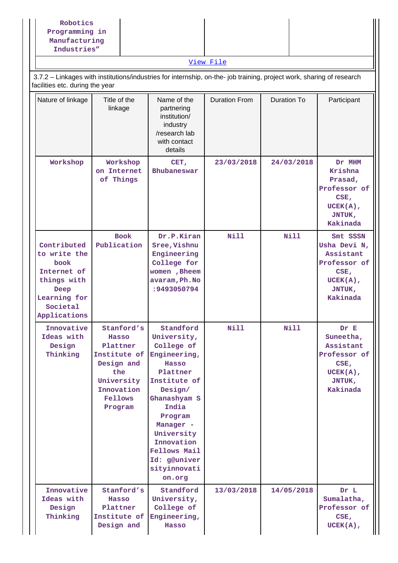|                                                                                                                                           | Robotics<br>Programming in<br>Manufacturing<br>Industries"<br>3.7.2 - Linkages with institutions/industries for internship, on-the- job training, project work, sharing of research |                                                                                                                                                                                                                                                                            |                                                                                    | View File   |             |                                                                                                    |  |
|-------------------------------------------------------------------------------------------------------------------------------------------|-------------------------------------------------------------------------------------------------------------------------------------------------------------------------------------|----------------------------------------------------------------------------------------------------------------------------------------------------------------------------------------------------------------------------------------------------------------------------|------------------------------------------------------------------------------------|-------------|-------------|----------------------------------------------------------------------------------------------------|--|
| facilities etc. during the year<br>Nature of linkage<br>Title of the<br>Name of the<br><b>Duration From</b><br>Duration To<br>Participant |                                                                                                                                                                                     |                                                                                                                                                                                                                                                                            |                                                                                    |             |             |                                                                                                    |  |
|                                                                                                                                           |                                                                                                                                                                                     | linkage                                                                                                                                                                                                                                                                    | partnering<br>institution/<br>industry<br>/research lab<br>with contact<br>details |             |             |                                                                                                    |  |
|                                                                                                                                           | Workshop                                                                                                                                                                            | Workshop<br>on Internet<br>of Things<br><b>Book</b><br>Publication<br>book<br>Deep<br>Societal<br>Innovative<br>Stanford's<br>Ideas with<br>Hasso<br>Design<br>Plattner<br>Thinking<br>Institute of<br>Design and<br>the<br>University<br>Innovation<br>Fellows<br>Program |                                                                                    | 23/03/2018  | 24/03/2018  | Dr MHM<br>Krishna<br>Prasad,<br>Professor of<br>CSE,<br>$UCEK(A)$ ,<br>JNTUK,<br>Kakinada          |  |
|                                                                                                                                           | Contributed<br>to write the<br>Internet of<br>things with<br>Learning for<br>Applications                                                                                           |                                                                                                                                                                                                                                                                            |                                                                                    | Nill        | <b>Nill</b> | Smt SSSN<br>Usha Devi N,<br>Assistant<br>Professor of<br>CSE,<br>$UCEK(A)$ ,<br>JNTUK,<br>Kakinada |  |
|                                                                                                                                           |                                                                                                                                                                                     |                                                                                                                                                                                                                                                                            |                                                                                    | <b>Nill</b> | Nill        | Dr E<br>Suneetha,<br>Assistant<br>Professor of<br>CSE,<br>$UCEK(A)$ ,<br>JNTUK,<br>Kakinada        |  |
|                                                                                                                                           | Innovative<br>Ideas with<br>Design<br>Thinking                                                                                                                                      | Stanford's<br>Hasso<br>Plattner<br>Institute of<br>Design and                                                                                                                                                                                                              | Standford<br>University,<br>College of<br>Engineering,<br>Hasso                    | 13/03/2018  | 14/05/2018  | Dr L<br>Sumalatha,<br>Professor of<br>CSE,<br>$UCEK(A)$ ,                                          |  |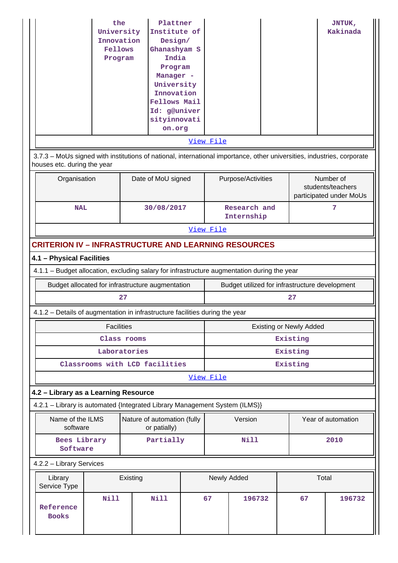| 3.7.3 - MoUs signed with institutions of national, international importance, other universities, industries, corporate | the<br>University<br>Innovation<br>Fellows<br>Program          |             | Plattner<br>Institute of<br>Design/<br>Ghanashyam S<br>India<br>Program<br>Manager -<br>University<br>Innovation<br><b>Fellows Mail</b><br>Id: g@univer<br>sityinnovati<br>on.org |            | View File                      |                            |  |                                                | JNTUK,<br>Kakinada |  |  |
|------------------------------------------------------------------------------------------------------------------------|----------------------------------------------------------------|-------------|-----------------------------------------------------------------------------------------------------------------------------------------------------------------------------------|------------|--------------------------------|----------------------------|--|------------------------------------------------|--------------------|--|--|
|                                                                                                                        | houses etc. during the year<br>Date of MoU signed<br>Number of |             |                                                                                                                                                                                   |            |                                |                            |  |                                                |                    |  |  |
| Organisation                                                                                                           |                                                                |             |                                                                                                                                                                                   |            | Purpose/Activities             |                            |  | students/teachers<br>participated under MoUs   |                    |  |  |
| <b>NAL</b>                                                                                                             |                                                                |             |                                                                                                                                                                                   | 30/08/2017 |                                | Research and<br>Internship |  |                                                | 7                  |  |  |
|                                                                                                                        | View File                                                      |             |                                                                                                                                                                                   |            |                                |                            |  |                                                |                    |  |  |
| <b>CRITERION IV - INFRASTRUCTURE AND LEARNING RESOURCES</b>                                                            |                                                                |             |                                                                                                                                                                                   |            |                                |                            |  |                                                |                    |  |  |
| 4.1 - Physical Facilities                                                                                              |                                                                |             |                                                                                                                                                                                   |            |                                |                            |  |                                                |                    |  |  |
| 4.1.1 - Budget allocation, excluding salary for infrastructure augmentation during the year                            |                                                                |             |                                                                                                                                                                                   |            |                                |                            |  |                                                |                    |  |  |
| Budget allocated for infrastructure augmentation                                                                       |                                                                |             |                                                                                                                                                                                   |            |                                |                            |  | Budget utilized for infrastructure development |                    |  |  |
|                                                                                                                        |                                                                | 27          |                                                                                                                                                                                   |            |                                |                            |  | 27                                             |                    |  |  |
| 4.1.2 – Details of augmentation in infrastructure facilities during the year                                           |                                                                |             |                                                                                                                                                                                   |            |                                |                            |  |                                                |                    |  |  |
|                                                                                                                        | <b>Facilities</b>                                              |             |                                                                                                                                                                                   |            | <b>Existing or Newly Added</b> |                            |  |                                                |                    |  |  |
|                                                                                                                        |                                                                | Class rooms |                                                                                                                                                                                   |            | Existing                       |                            |  |                                                |                    |  |  |
|                                                                                                                        | Laboratories                                                   |             |                                                                                                                                                                                   |            | Existing                       |                            |  |                                                |                    |  |  |
| Classrooms with LCD facilities                                                                                         |                                                                |             |                                                                                                                                                                                   |            |                                |                            |  | Existing                                       |                    |  |  |
|                                                                                                                        |                                                                |             |                                                                                                                                                                                   |            | View File                      |                            |  |                                                |                    |  |  |
| 4.2 - Library as a Learning Resource                                                                                   |                                                                |             |                                                                                                                                                                                   |            |                                |                            |  |                                                |                    |  |  |
| 4.2.1 - Library is automated {Integrated Library Management System (ILMS)}                                             |                                                                |             |                                                                                                                                                                                   |            |                                |                            |  |                                                |                    |  |  |
| Name of the ILMS<br>software                                                                                           |                                                                |             | Nature of automation (fully<br>or patially)                                                                                                                                       |            |                                | Version                    |  |                                                | Year of automation |  |  |
| Bees Library<br>Software                                                                                               |                                                                |             | Partially                                                                                                                                                                         |            |                                | <b>Nill</b>                |  |                                                | 2010               |  |  |
| 4.2.2 - Library Services                                                                                               |                                                                |             |                                                                                                                                                                                   |            |                                |                            |  |                                                |                    |  |  |
| Library<br>Service Type                                                                                                |                                                                | Existing    |                                                                                                                                                                                   |            | Newly Added                    |                            |  | Total                                          |                    |  |  |
| Reference<br><b>Books</b>                                                                                              | <b>Nill</b>                                                    |             | <b>Nill</b>                                                                                                                                                                       |            | 67                             | 196732                     |  | 67                                             | 196732             |  |  |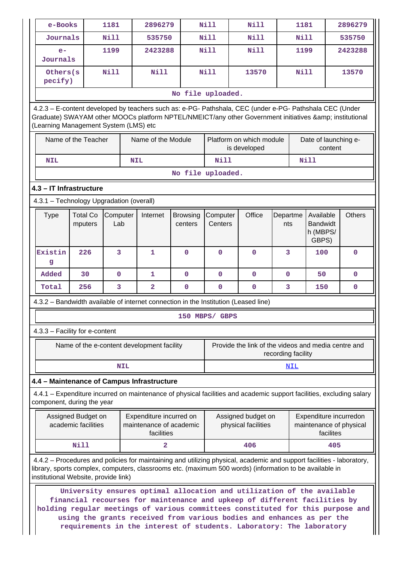| e-Books                                  |                                           | 1181            |            | 2896279                                                          |                                                                  | <b>Nill</b>         | <b>Nill</b>                                                                                                                                                                                                                                                                                                                                                                             |                    | 1181            |                                                   |           | 2896279                                           |
|------------------------------------------|-------------------------------------------|-----------------|------------|------------------------------------------------------------------|------------------------------------------------------------------|---------------------|-----------------------------------------------------------------------------------------------------------------------------------------------------------------------------------------------------------------------------------------------------------------------------------------------------------------------------------------------------------------------------------------|--------------------|-----------------|---------------------------------------------------|-----------|---------------------------------------------------|
| Journals                                 |                                           | Nill            |            | 535750                                                           |                                                                  | <b>Nill</b>         | <b>Nill</b>                                                                                                                                                                                                                                                                                                                                                                             |                    | <b>Nill</b>     |                                                   |           | 535750                                            |
| $e-$<br>Journals                         |                                           | 1199            |            | 2423288                                                          |                                                                  | <b>Nill</b>         | <b>Nill</b>                                                                                                                                                                                                                                                                                                                                                                             |                    | 1199            |                                                   |           | 2423288                                           |
| Others (s)<br>pecify)                    |                                           | Nill            |            | <b>Nill</b>                                                      |                                                                  | <b>Nill</b>         | 13570                                                                                                                                                                                                                                                                                                                                                                                   |                    | <b>Nill</b>     |                                                   |           | 13570                                             |
|                                          |                                           |                 |            |                                                                  | No file uploaded.                                                |                     |                                                                                                                                                                                                                                                                                                                                                                                         |                    |                 |                                                   |           |                                                   |
| (Learning Management System (LMS) etc    |                                           |                 |            |                                                                  |                                                                  |                     | 4.2.3 - E-content developed by teachers such as: e-PG- Pathshala, CEC (under e-PG- Pathshala CEC (Under<br>Graduate) SWAYAM other MOOCs platform NPTEL/NMEICT/any other Government initiatives & institutional                                                                                                                                                                          |                    |                 |                                                   |           |                                                   |
|                                          | Name of the Teacher                       |                 |            | Name of the Module                                               | Platform on which module<br>Date of launching e-<br>is developed |                     |                                                                                                                                                                                                                                                                                                                                                                                         | content            |                 |                                                   |           |                                                   |
| <b>NIL</b>                               |                                           |                 |            | <b>NIL</b>                                                       |                                                                  | Nill                |                                                                                                                                                                                                                                                                                                                                                                                         |                    |                 | <b>Nill</b>                                       |           |                                                   |
|                                          |                                           |                 |            |                                                                  | No file uploaded.                                                |                     |                                                                                                                                                                                                                                                                                                                                                                                         |                    |                 |                                                   |           |                                                   |
| 4.3 - IT Infrastructure                  |                                           |                 |            |                                                                  |                                                                  |                     |                                                                                                                                                                                                                                                                                                                                                                                         |                    |                 |                                                   |           |                                                   |
| 4.3.1 - Technology Upgradation (overall) |                                           |                 |            |                                                                  |                                                                  |                     |                                                                                                                                                                                                                                                                                                                                                                                         |                    |                 |                                                   |           |                                                   |
| <b>Type</b>                              | <b>Total Co</b><br>mputers                | Computer<br>Lab |            | Internet                                                         | <b>Browsing</b><br>centers                                       | Computer<br>Centers | Office                                                                                                                                                                                                                                                                                                                                                                                  |                    | Departme<br>nts | Available<br><b>Bandwidt</b><br>h (MBPS/<br>GBPS) |           | <b>Others</b>                                     |
| Existin<br>g                             | 226                                       | $\overline{3}$  |            | $\mathbf{1}$                                                     | $\mathbf 0$                                                      | $\Omega$            | $\mathbf 0$                                                                                                                                                                                                                                                                                                                                                                             |                    | 3               | 100                                               |           | 0                                                 |
| Added                                    | 30                                        | $\mathbf 0$     |            | 1                                                                | $\mathbf 0$                                                      | $\mathbf 0$         | $\mathbf 0$                                                                                                                                                                                                                                                                                                                                                                             |                    | $\mathbf 0$     | 50                                                |           | $\mathbf 0$                                       |
| Total                                    | 256                                       | 3               |            | $\overline{\mathbf{2}}$                                          | $\mathbf 0$                                                      | $\mathbf 0$         | $\mathbf 0$                                                                                                                                                                                                                                                                                                                                                                             |                    | 3               | 150                                               |           | 0                                                 |
|                                          |                                           |                 |            |                                                                  |                                                                  |                     | 4.3.2 - Bandwidth available of internet connection in the Institution (Leased line)                                                                                                                                                                                                                                                                                                     |                    |                 |                                                   |           |                                                   |
|                                          |                                           |                 |            |                                                                  |                                                                  | 150 MRPS/ GRPS      |                                                                                                                                                                                                                                                                                                                                                                                         |                    |                 |                                                   |           |                                                   |
| 4.3.3 - Facility for e-content           |                                           |                 |            |                                                                  |                                                                  |                     |                                                                                                                                                                                                                                                                                                                                                                                         |                    |                 |                                                   |           |                                                   |
|                                          |                                           |                 |            | Name of the e-content development facility                       |                                                                  |                     | Provide the link of the videos and media centre and                                                                                                                                                                                                                                                                                                                                     | recording facility |                 |                                                   |           |                                                   |
|                                          |                                           |                 | <b>NIL</b> |                                                                  |                                                                  |                     |                                                                                                                                                                                                                                                                                                                                                                                         |                    | <u>NIL</u>      |                                                   |           |                                                   |
|                                          |                                           |                 |            | 4.4 - Maintenance of Campus Infrastructure                       |                                                                  |                     |                                                                                                                                                                                                                                                                                                                                                                                         |                    |                 |                                                   |           |                                                   |
| component, during the year               |                                           |                 |            |                                                                  |                                                                  |                     | 4.4.1 – Expenditure incurred on maintenance of physical facilities and academic support facilities, excluding salary                                                                                                                                                                                                                                                                    |                    |                 |                                                   |           |                                                   |
|                                          | Assigned Budget on<br>academic facilities |                 |            | Expenditure incurred on<br>maintenance of academic<br>facilities |                                                                  |                     | Assigned budget on<br>physical facilities                                                                                                                                                                                                                                                                                                                                               |                    |                 |                                                   | facilites | Expenditure incurredon<br>maintenance of physical |
|                                          | <b>Nill</b>                               |                 |            | $\overline{a}$                                                   |                                                                  |                     | 406                                                                                                                                                                                                                                                                                                                                                                                     |                    |                 |                                                   | 405       |                                                   |
| institutional Website, provide link)     |                                           |                 |            |                                                                  |                                                                  |                     | 4.4.2 – Procedures and policies for maintaining and utilizing physical, academic and support facilities - laboratory,<br>library, sports complex, computers, classrooms etc. (maximum 500 words) (information to be available in                                                                                                                                                        |                    |                 |                                                   |           |                                                   |
|                                          |                                           |                 |            |                                                                  |                                                                  |                     | University ensures optimal allocation and utilization of the available<br>financial recourses for maintenance and upkeep of different facilities by<br>holding regular meetings of various committees constituted for this purpose and<br>using the grants received from various bodies and enhances as per the<br>requirements in the interest of students. Laboratory: The laboratory |                    |                 |                                                   |           |                                                   |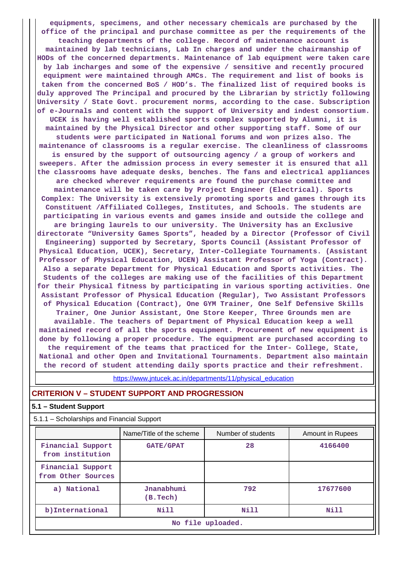**equipments, specimens, and other necessary chemicals are purchased by the office of the principal and purchase committee as per the requirements of the teaching departments of the college. Record of maintenance account is maintained by lab technicians, Lab In charges and under the chairmanship of HODs of the concerned departments. Maintenance of lab equipment were taken care by lab incharges and some of the expensive / sensitive and recently procured equipment were maintained through AMCs. The requirement and list of books is taken from the concerned BoS / HOD's. The finalized list of required books is duly approved The Principal and procured by the Librarian by strictly following University / State Govt. procurement norms, according to the case. Subscription of e-Journals and content with the support of University and indest consortium. UCEK is having well established sports complex supported by Alumni, it is maintained by the Physical Director and other supporting staff. Some of our students were participated in National forums and won prizes also. The maintenance of classrooms is a regular exercise. The cleanliness of classrooms is ensured by the support of outsourcing agency / a group of workers and sweepers. After the admission process in every semester it is ensured that all the classrooms have adequate desks, benches. The fans and electrical appliances are checked wherever requirements are found the purchase committee and maintenance will be taken care by Project Engineer (Electrical). Sports Complex: The University is extensively promoting sports and games through its Constituent /Affiliated Colleges, Institutes, and Schools. The students are participating in various events and games inside and outside the college and are bringing laurels to our university. The University has an Exclusive directorate "University Games Sports", headed by a Director (Professor of Civil Engineering) supported by Secretary, Sports Council (Assistant Professor of Physical Education, UCEK), Secretary, Inter-Collegiate Tournaments. (Assistant Professor of Physical Education, UCEN) Assistant Professor of Yoga (Contract). Also a separate Department for Physical Education and Sports activities. The Students of the colleges are making use of the facilities of this Department for their Physical fitness by participating in various sporting activities. One Assistant Professor of Physical Education (Regular), Two Assistant Professors of Physical Education (Contract), One GYM Trainer, One Self Defensive Skills Trainer, One Junior Assistant, One Store Keeper, Three Grounds men are available. The teachers of Department of Physical Education keep a well maintained record of all the sports equipment. Procurement of new equipment is done by following a proper procedure. The equipment are purchased according to the requirement of the teams that practiced for the Inter- College, State, National and other Open and Invitational Tournaments. Department also maintain the record of student attending daily sports practice and their refreshment.**

https://www.jntucek.ac.in/departments/11/physical\_education

#### **CRITERION V – STUDENT SUPPORT AND PROGRESSION**

#### **5.1 – Student Support**

| 5.1.1 - Scholarships and Financial Support |                          |                    |                  |  |  |  |  |  |
|--------------------------------------------|--------------------------|--------------------|------------------|--|--|--|--|--|
|                                            | Name/Title of the scheme | Number of students | Amount in Rupees |  |  |  |  |  |
| Financial Support<br>from institution      | <b>GATE/GPAT</b>         | 28                 | 4166400          |  |  |  |  |  |
| Financial Support<br>from Other Sources    |                          |                    |                  |  |  |  |  |  |
| a) National                                | Jnanabhumi<br>(B. Tech)  | 792                | 17677600         |  |  |  |  |  |
| b) International                           | Nill                     | Nill               | Nill             |  |  |  |  |  |
| No file uploaded.                          |                          |                    |                  |  |  |  |  |  |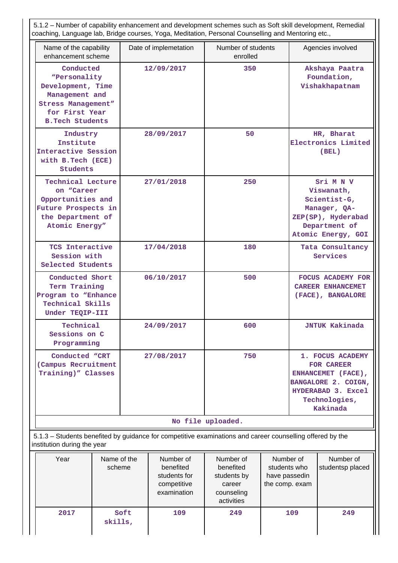5.1.2 – Number of capability enhancement and development schemes such as Soft skill development, Remedial coaching, Language lab, Bridge courses, Yoga, Meditation, Personal Counselling and Mentoring etc.,

| Name of the capability                                                                                                                    | Date of implemetation | Number of students | Agencies involved                                                                                                                     |
|-------------------------------------------------------------------------------------------------------------------------------------------|-----------------------|--------------------|---------------------------------------------------------------------------------------------------------------------------------------|
| enhancement scheme                                                                                                                        |                       | enrolled           |                                                                                                                                       |
| Conducted<br>"Personality<br>Development, Time<br>Management and<br><b>Stress Management"</b><br>for First Year<br><b>B.Tech Students</b> | 12/09/2017            | 350                | Akshaya Paatra<br>Foundation,<br>Vishakhapatnam                                                                                       |
| Industry<br>Institute<br>Interactive Session<br>with B.Tech (ECE)<br><b>Students</b>                                                      | 28/09/2017            | 50                 | HR, Bharat<br>Electronics Limited<br>(BEL)                                                                                            |
| <b>Technical Lecture</b><br>on "Career<br>Opportunities and<br>Future Prospects in<br>the Department of<br>Atomic Energy"                 | 27/01/2018            | 250                | Sri M N V<br>Viswanath,<br>Scientist-G,<br>Manager, QA-<br>ZEP(SP), Hyderabad<br>Department of<br>Atomic Energy, GOI                  |
| TCS Interactive<br>Session with<br>Selected Students                                                                                      | 17/04/2018            | 180                | Tata Consultancy<br>Services                                                                                                          |
| Conducted Short<br>Term Training<br>Program to "Enhance<br>Technical Skills<br>Under TEQIP-III                                            | 06/10/2017            | 500                | <b>FOCUS ACADEMY FOR</b><br><b>CAREER ENHANCEMET</b><br>(FACE), BANGALORE                                                             |
| Technical<br>Sessions on C<br>Programming                                                                                                 | 24/09/2017            | 600                | <b>JNTUK Kakinada</b>                                                                                                                 |
| Conducted "CRT<br>(Campus Recruitment<br>Training)" Classes                                                                               | 27/08/2017            | 750                | 1. FOCUS ACADEMY<br><b>FOR CAREER</b><br>ENHANCEMET (FACE),<br>BANGALORE 2. COIGN,<br>HYDERABAD 3. Excel<br>Technologies,<br>Kakinada |
|                                                                                                                                           |                       | No file uploaded.  |                                                                                                                                       |

 5.1.3 – Students benefited by guidance for competitive examinations and career counselling offered by the institution during the year

| Year | Name of the<br>scheme | Number of<br>benefited<br>students for<br>competitive<br>examination | Number of<br>benefited<br>students by<br>career<br>counseling<br>activities | Number of<br>students who<br>have passedin<br>the comp. exam | Number of<br>studentsp placed |
|------|-----------------------|----------------------------------------------------------------------|-----------------------------------------------------------------------------|--------------------------------------------------------------|-------------------------------|
| 2017 | Soft<br>skills,       | 109                                                                  | 249                                                                         | 109                                                          | 249                           |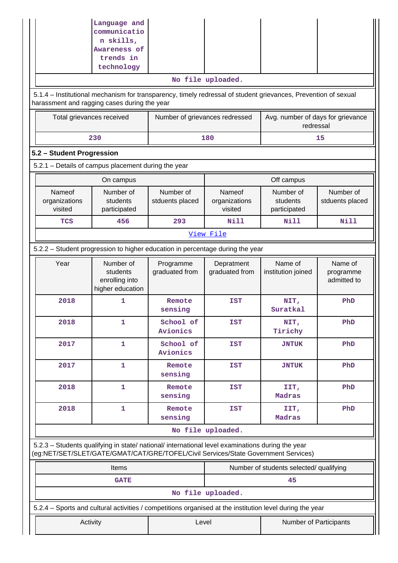|                                                                                                                                                                                        | Language and<br>communicatio<br>n skills,<br>Awareness of                                                                                                      |                                |                                    |                                                |                                     |  |  |  |  |  |  |  |
|----------------------------------------------------------------------------------------------------------------------------------------------------------------------------------------|----------------------------------------------------------------------------------------------------------------------------------------------------------------|--------------------------------|------------------------------------|------------------------------------------------|-------------------------------------|--|--|--|--|--|--|--|
|                                                                                                                                                                                        | trends in<br>technology                                                                                                                                        |                                |                                    |                                                |                                     |  |  |  |  |  |  |  |
|                                                                                                                                                                                        |                                                                                                                                                                |                                | No file uploaded.                  |                                                |                                     |  |  |  |  |  |  |  |
|                                                                                                                                                                                        | 5.1.4 – Institutional mechanism for transparency, timely redressal of student grievances, Prevention of sexual<br>harassment and ragging cases during the year |                                |                                    |                                                |                                     |  |  |  |  |  |  |  |
| Total grievances received                                                                                                                                                              |                                                                                                                                                                | Number of grievances redressed |                                    | Avg. number of days for grievance<br>redressal |                                     |  |  |  |  |  |  |  |
|                                                                                                                                                                                        | 230                                                                                                                                                            |                                | 180                                |                                                | 15                                  |  |  |  |  |  |  |  |
|                                                                                                                                                                                        | 5.2 - Student Progression                                                                                                                                      |                                |                                    |                                                |                                     |  |  |  |  |  |  |  |
|                                                                                                                                                                                        | 5.2.1 - Details of campus placement during the year                                                                                                            |                                |                                    |                                                |                                     |  |  |  |  |  |  |  |
|                                                                                                                                                                                        | On campus                                                                                                                                                      |                                |                                    | Off campus                                     |                                     |  |  |  |  |  |  |  |
| Nameof<br>organizations<br>visited                                                                                                                                                     | Number of<br>students<br>participated                                                                                                                          | Number of<br>stduents placed   | Nameof<br>organizations<br>visited | Number of<br>students<br>participated          | Number of<br>stduents placed        |  |  |  |  |  |  |  |
| <b>TCS</b>                                                                                                                                                                             | 456                                                                                                                                                            | 293                            | Nill                               | Nill                                           | Nill                                |  |  |  |  |  |  |  |
|                                                                                                                                                                                        |                                                                                                                                                                |                                | View File                          |                                                |                                     |  |  |  |  |  |  |  |
|                                                                                                                                                                                        | 5.2.2 - Student progression to higher education in percentage during the year                                                                                  |                                |                                    |                                                |                                     |  |  |  |  |  |  |  |
| Year                                                                                                                                                                                   | Number of<br>students<br>enrolling into<br>higher education                                                                                                    | Programme<br>graduated from    | Depratment<br>graduated from       | Name of<br>institution joined                  | Name of<br>programme<br>admitted to |  |  |  |  |  |  |  |
| 2018                                                                                                                                                                                   | 1                                                                                                                                                              | Remote<br>sensing              | <b>IST</b>                         | NIT,<br>Suratkal                               | PhD                                 |  |  |  |  |  |  |  |
| 2018                                                                                                                                                                                   | 1                                                                                                                                                              | School of<br>Avionics          | <b>IST</b>                         | NIT,<br>Tirichy                                | PhD                                 |  |  |  |  |  |  |  |
| 2017                                                                                                                                                                                   | $\mathbf{1}$                                                                                                                                                   | School of<br>Avionics          | <b>IST</b>                         | <b>JNTUK</b>                                   | PhD                                 |  |  |  |  |  |  |  |
| 2017                                                                                                                                                                                   | 1                                                                                                                                                              | Remote<br>sensing              | <b>IST</b>                         | <b>JNTUK</b>                                   | PhD                                 |  |  |  |  |  |  |  |
| 2018                                                                                                                                                                                   | $\mathbf{1}$                                                                                                                                                   | Remote<br>sensing              | <b>IST</b>                         | IIT,<br>Madras                                 | PhD                                 |  |  |  |  |  |  |  |
| 2018                                                                                                                                                                                   | 1                                                                                                                                                              | Remote<br>sensing              | <b>IST</b>                         | IIT,<br>Madras                                 | PhD                                 |  |  |  |  |  |  |  |
|                                                                                                                                                                                        |                                                                                                                                                                |                                | No file uploaded.                  |                                                |                                     |  |  |  |  |  |  |  |
| 5.2.3 - Students qualifying in state/ national/ international level examinations during the year<br>(eg:NET/SET/SLET/GATE/GMAT/CAT/GRE/TOFEL/Civil Services/State Government Services) |                                                                                                                                                                |                                |                                    |                                                |                                     |  |  |  |  |  |  |  |
|                                                                                                                                                                                        | Items                                                                                                                                                          |                                |                                    | Number of students selected/ qualifying        |                                     |  |  |  |  |  |  |  |
|                                                                                                                                                                                        | <b>GATE</b>                                                                                                                                                    |                                |                                    | 45                                             |                                     |  |  |  |  |  |  |  |
|                                                                                                                                                                                        |                                                                                                                                                                |                                | No file uploaded.                  |                                                |                                     |  |  |  |  |  |  |  |
| 5.2.4 – Sports and cultural activities / competitions organised at the institution level during the year                                                                               |                                                                                                                                                                |                                |                                    |                                                |                                     |  |  |  |  |  |  |  |
| Activity                                                                                                                                                                               |                                                                                                                                                                | Level                          |                                    | Number of Participants                         |                                     |  |  |  |  |  |  |  |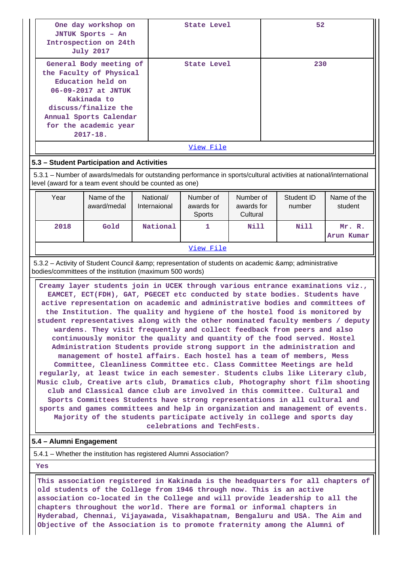|                                                                                                                                                                                                                                                                                                                                                                                                                                                                                                                                                                                                                                                                                                                                                                                                                                                                                                                                                                                                                                                                                                                                                                                                                                                                                                                                                                                                   | One day workshop on<br>JNTUK Sports - An<br>Introspection on 24th<br><b>July 2017</b>                                                                                                                    |                           | State Level                       |                                     | 52                                                                                            |                        |  |  |  |
|---------------------------------------------------------------------------------------------------------------------------------------------------------------------------------------------------------------------------------------------------------------------------------------------------------------------------------------------------------------------------------------------------------------------------------------------------------------------------------------------------------------------------------------------------------------------------------------------------------------------------------------------------------------------------------------------------------------------------------------------------------------------------------------------------------------------------------------------------------------------------------------------------------------------------------------------------------------------------------------------------------------------------------------------------------------------------------------------------------------------------------------------------------------------------------------------------------------------------------------------------------------------------------------------------------------------------------------------------------------------------------------------------|----------------------------------------------------------------------------------------------------------------------------------------------------------------------------------------------------------|---------------------------|-----------------------------------|-------------------------------------|-----------------------------------------------------------------------------------------------|------------------------|--|--|--|
|                                                                                                                                                                                                                                                                                                                                                                                                                                                                                                                                                                                                                                                                                                                                                                                                                                                                                                                                                                                                                                                                                                                                                                                                                                                                                                                                                                                                   | General Body meeting of<br>the Faculty of Physical<br>Education held on<br>06-09-2017 at JNTUK<br>Kakinada to<br>discuss/finalize the<br>Annual Sports Calendar<br>for the academic year<br>$2017 - 18.$ |                           | <b>State Level</b>                |                                     | 230                                                                                           |                        |  |  |  |
|                                                                                                                                                                                                                                                                                                                                                                                                                                                                                                                                                                                                                                                                                                                                                                                                                                                                                                                                                                                                                                                                                                                                                                                                                                                                                                                                                                                                   |                                                                                                                                                                                                          |                           | View File                         |                                     |                                                                                               |                        |  |  |  |
|                                                                                                                                                                                                                                                                                                                                                                                                                                                                                                                                                                                                                                                                                                                                                                                                                                                                                                                                                                                                                                                                                                                                                                                                                                                                                                                                                                                                   | 5.3 - Student Participation and Activities                                                                                                                                                               |                           |                                   |                                     |                                                                                               |                        |  |  |  |
|                                                                                                                                                                                                                                                                                                                                                                                                                                                                                                                                                                                                                                                                                                                                                                                                                                                                                                                                                                                                                                                                                                                                                                                                                                                                                                                                                                                                   | 5.3.1 – Number of awards/medals for outstanding performance in sports/cultural activities at national/international<br>level (award for a team event should be counted as one)                           |                           |                                   |                                     |                                                                                               |                        |  |  |  |
| Year                                                                                                                                                                                                                                                                                                                                                                                                                                                                                                                                                                                                                                                                                                                                                                                                                                                                                                                                                                                                                                                                                                                                                                                                                                                                                                                                                                                              | Name of the<br>award/medal                                                                                                                                                                               | National/<br>Internaional | Number of<br>awards for<br>Sports | Number of<br>awards for<br>Cultural | Student ID<br>number                                                                          | Name of the<br>student |  |  |  |
| 2018                                                                                                                                                                                                                                                                                                                                                                                                                                                                                                                                                                                                                                                                                                                                                                                                                                                                                                                                                                                                                                                                                                                                                                                                                                                                                                                                                                                              | Gold                                                                                                                                                                                                     | National                  | 1                                 | Nill                                | Nill                                                                                          | Mr. R.<br>Arun Kumar   |  |  |  |
|                                                                                                                                                                                                                                                                                                                                                                                                                                                                                                                                                                                                                                                                                                                                                                                                                                                                                                                                                                                                                                                                                                                                                                                                                                                                                                                                                                                                   |                                                                                                                                                                                                          |                           | View File                         |                                     |                                                                                               |                        |  |  |  |
|                                                                                                                                                                                                                                                                                                                                                                                                                                                                                                                                                                                                                                                                                                                                                                                                                                                                                                                                                                                                                                                                                                                                                                                                                                                                                                                                                                                                   |                                                                                                                                                                                                          |                           |                                   |                                     | 5.3.2 - Activity of Student Council & representation of students on academic & administrative |                        |  |  |  |
| bodies/committees of the institution (maximum 500 words)<br>Creamy layer students join in UCEK through various entrance examinations viz.,<br>EAMCET, ECT(FDH), GAT, PGECET etc conducted by state bodies. Students have<br>active representation on academic and administrative bodies and committees of<br>the Institution. The quality and hygiene of the hostel food is monitored by<br>student representatives along with the other nominated faculty members / deputy  <br>wardens. They visit frequently and collect feedback from peers and also<br>continuously monitor the quality and quantity of the food served. Hostel<br>Administration Students provide strong support in the administration and<br>management of hostel affairs. Each hostel has a team of members, Mess<br>Committee, Cleanliness Committee etc. Class Committee Meetings are held<br>regularly, at least twice in each semester. Students clubs like Literary club,<br>Music club, Creative arts club, Dramatics club, Photography short film shooting<br>club and Classical dance club are involved in this committee. Cultural and<br>Sports Committees Students have strong representations in all cultural and<br>sports and games committees and help in organization and management of events.<br>Majority of the students participate actively in college and sports day<br>celebrations and TechFests. |                                                                                                                                                                                                          |                           |                                   |                                     |                                                                                               |                        |  |  |  |
| 5.4 - Alumni Engagement                                                                                                                                                                                                                                                                                                                                                                                                                                                                                                                                                                                                                                                                                                                                                                                                                                                                                                                                                                                                                                                                                                                                                                                                                                                                                                                                                                           |                                                                                                                                                                                                          |                           |                                   |                                     |                                                                                               |                        |  |  |  |
|                                                                                                                                                                                                                                                                                                                                                                                                                                                                                                                                                                                                                                                                                                                                                                                                                                                                                                                                                                                                                                                                                                                                                                                                                                                                                                                                                                                                   | 5.4.1 – Whether the institution has registered Alumni Association?                                                                                                                                       |                           |                                   |                                     |                                                                                               |                        |  |  |  |

 **Yes**

 **This association registered in Kakinada is the headquarters for all chapters of old students of the College from 1946 through now. This is an active association co-located in the College and will provide leadership to all the chapters throughout the world. There are formal or informal chapters in Hyderabad, Chennai, Vijayawada, Visakhapatnam, Bengaluru and USA. The Aim and Objective of the Association is to promote fraternity among the Alumni of**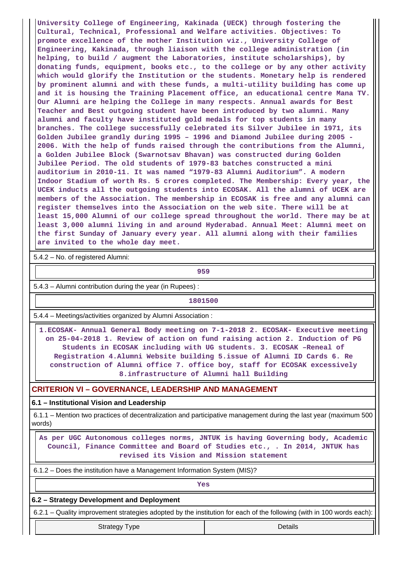**University College of Engineering, Kakinada (UECK) through fostering the Cultural, Technical, Professional and Welfare activities. Objectives: To promote excellence of the mother Institution viz., University College of Engineering, Kakinada, through liaison with the college administration (in helping, to build / augment the Laboratories, institute scholarships), by donating funds, equipment, books etc., to the college or by any other activity which would glorify the Institution or the students. Monetary help is rendered by prominent alumni and with these funds, a multi-utility building has come up and it is housing the Training Placement office, an educational centre Mana TV. Our Alumni are helping the College in many respects. Annual awards for Best Teacher and Best outgoing student have been introduced by two alumni. Many alumni and faculty have instituted gold medals for top students in many branches. The college successfully celebrated its Silver Jubilee in 1971, its Golden Jubilee grandly during 1995 – 1996 and Diamond Jubilee during 2005 - 2006. With the help of funds raised through the contributions from the Alumni, a Golden Jubilee Block (Swarnotsav Bhavan) was constructed during Golden Jubilee Period. The old students of 1979-83 batches constructed a mini auditorium in 2010-11. It was named "1979-83 Alumni Auditorium". A modern Indoor Stadium of worth Rs. 5 crores completed. The Membership: Every year, the UCEK inducts all the outgoing students into ECOSAK. All the alumni of UCEK are members of the Association. The membership in ECOSAK is free and any alumni can register themselves into the Association on the web site. There will be at least 15,000 Alumni of our college spread throughout the world. There may be at least 3,000 alumni living in and around Hyderabad. Annual Meet: Alumni meet on the first Sunday of January every year. All alumni along with their families are invited to the whole day meet.**

5.4.2 – No. of registered Alumni:

**959**

5.4.3 – Alumni contribution during the year (in Rupees) :

#### **1801500**

5.4.4 – Meetings/activities organized by Alumni Association :

 **1.ECOSAK- Annual General Body meeting on 7-1-2018 2. ECOSAK- Executive meeting on 25-04-2018 1. Review of action on fund raising action 2. Induction of PG Students in ECOSAK including with UG students. 3. ECOSAK –Reneal of Registration 4.Alumni Website building 5.issue of Alumni ID Cards 6. Re construction of Alumni office 7. office boy, staff for ECOSAK excessively 8.infrastructure of Alumni hall Building**

#### **CRITERION VI – GOVERNANCE, LEADERSHIP AND MANAGEMENT**

#### **6.1 – Institutional Vision and Leadership**

 6.1.1 – Mention two practices of decentralization and participative management during the last year (maximum 500 words)

 **As per UGC Autonomous colleges norms, JNTUK is having Governing body, Academic Council, Finance Committee and Board of Studies etc., . In 2014, JNTUK has revised its Vision and Mission statement**

6.1.2 – Does the institution have a Management Information System (MIS)?

*Yes* 

#### **6.2 – Strategy Development and Deployment**

6.2.1 – Quality improvement strategies adopted by the institution for each of the following (with in 100 words each):

Strategy Type **Details**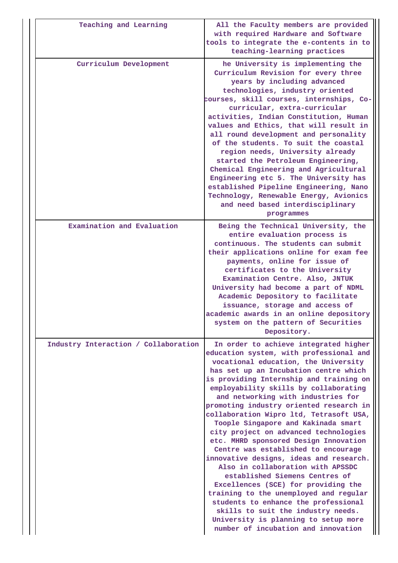| Teaching and Learning                | All the Faculty members are provided<br>with required Hardware and Software<br>tools to integrate the e-contents in to<br>teaching-learning practices                                                                                                                                                                                                                                                                                                                                                                                                                                                                                                                                                                                                                                                                                                                                                             |
|--------------------------------------|-------------------------------------------------------------------------------------------------------------------------------------------------------------------------------------------------------------------------------------------------------------------------------------------------------------------------------------------------------------------------------------------------------------------------------------------------------------------------------------------------------------------------------------------------------------------------------------------------------------------------------------------------------------------------------------------------------------------------------------------------------------------------------------------------------------------------------------------------------------------------------------------------------------------|
| Curriculum Development               | he University is implementing the<br>Curriculum Revision for every three<br>years by including advanced<br>technologies, industry oriented<br>courses, skill courses, internships, Co-<br>curricular, extra-curricular<br>activities, Indian Constitution, Human<br>values and Ethics, that will result in<br>all round development and personality<br>of the students. To suit the coastal<br>region needs, University already<br>started the Petroleum Engineering,<br>Chemical Engineering and Agricultural<br>Engineering etc 5. The University has<br>established Pipeline Engineering, Nano<br>Technology, Renewable Energy, Avionics<br>and need based interdisciplinary<br>programmes                                                                                                                                                                                                                     |
| Examination and Evaluation           | Being the Technical University, the<br>entire evaluation process is<br>continuous. The students can submit<br>their applications online for exam fee<br>payments, online for issue of<br>certificates to the University<br>Examination Centre. Also, JNTUK<br>University had become a part of NDML<br>Academic Depository to facilitate<br>issuance, storage and access of<br>academic awards in an online depository<br>system on the pattern of Securities<br>Depository.                                                                                                                                                                                                                                                                                                                                                                                                                                       |
| Industry Interaction / Collaboration | In order to achieve integrated higher<br>education system, with professional and<br>vocational education, the University<br>has set up an Incubation centre which<br>is providing Internship and training on<br>employability skills by collaborating<br>and networking with industries for<br>promoting industry oriented research in<br>collaboration Wipro ltd, Tetrasoft USA,<br>Toople Singapore and Kakinada smart<br>city project on advanced technologies<br>etc. MHRD sponsored Design Innovation<br>Centre was established to encourage<br>innovative designs, ideas and research.<br>Also in collaboration with APSSDC<br>established Siemens Centres of<br>Excellences (SCE) for providing the<br>training to the unemployed and regular<br>students to enhance the professional<br>skills to suit the industry needs.<br>University is planning to setup more<br>number of incubation and innovation |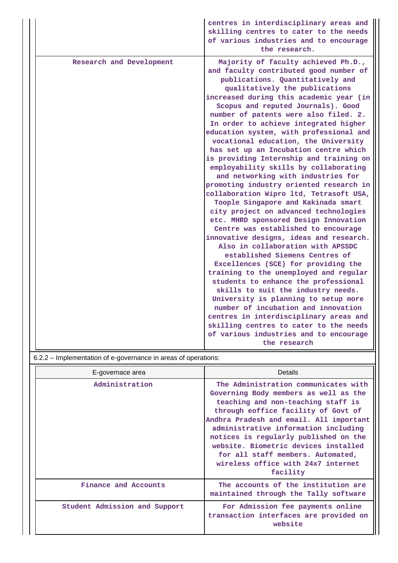|                          | centres in interdisciplinary areas and<br>skilling centres to cater to the needs<br>of various industries and to encourage<br>the research.                                                                                                                                                                                                                                                                                                                                                                                                                                                                                                                                                                                                                                                                                                                                                                                                                                                                                                                                                                                                                                                                                                  |
|--------------------------|----------------------------------------------------------------------------------------------------------------------------------------------------------------------------------------------------------------------------------------------------------------------------------------------------------------------------------------------------------------------------------------------------------------------------------------------------------------------------------------------------------------------------------------------------------------------------------------------------------------------------------------------------------------------------------------------------------------------------------------------------------------------------------------------------------------------------------------------------------------------------------------------------------------------------------------------------------------------------------------------------------------------------------------------------------------------------------------------------------------------------------------------------------------------------------------------------------------------------------------------|
| Research and Development | Majority of faculty achieved Ph.D.,<br>and faculty contributed good number of<br>publications. Quantitatively and<br>qualitatively the publications<br>increased during this academic year (in<br>Scopus and reputed Journals). Good<br>number of patents were also filed. 2.<br>In order to achieve integrated higher<br>education system, with professional and<br>vocational education, the University<br>has set up an Incubation centre which<br>is providing Internship and training on<br>employability skills by collaborating<br>and networking with industries for<br>promoting industry oriented research in<br>collaboration Wipro ltd, Tetrasoft USA,<br>Toople Singapore and Kakinada smart<br>city project on advanced technologies<br>etc. MHRD sponsored Design Innovation<br>Centre was established to encourage<br>innovative designs, ideas and research.<br>Also in collaboration with APSSDC<br>established Siemens Centres of<br>Excellences (SCE) for providing the<br>training to the unemployed and regular<br>students to enhance the professional<br>skills to suit the industry needs.<br>University is planning to setup more<br>number of incubation and innovation<br>centres in interdisciplinary areas and |
|                          | skilling centres to cater to the needs<br>of various industries and to encourage<br>the research                                                                                                                                                                                                                                                                                                                                                                                                                                                                                                                                                                                                                                                                                                                                                                                                                                                                                                                                                                                                                                                                                                                                             |

6.2.2 – Implementation of e-governance in areas of operations:

| E-governace area              | Details                                                                                                                                                                                                                                                                                                                                                                                                               |
|-------------------------------|-----------------------------------------------------------------------------------------------------------------------------------------------------------------------------------------------------------------------------------------------------------------------------------------------------------------------------------------------------------------------------------------------------------------------|
| Administration                | The Administration communicates with<br>Governing Body members as well as the<br>teaching and non-teaching staff is<br>through eoffice facility of Govt of<br>Andhra Pradesh and email. All important<br>administrative information including<br>notices is regularly published on the<br>website. Biometric devices installed<br>for all staff members. Automated,<br>wireless office with 24x7 internet<br>facility |
| Finance and Accounts          | The accounts of the institution are<br>maintained through the Tally software                                                                                                                                                                                                                                                                                                                                          |
| Student Admission and Support | For Admission fee payments online<br>transaction interfaces are provided on<br>website                                                                                                                                                                                                                                                                                                                                |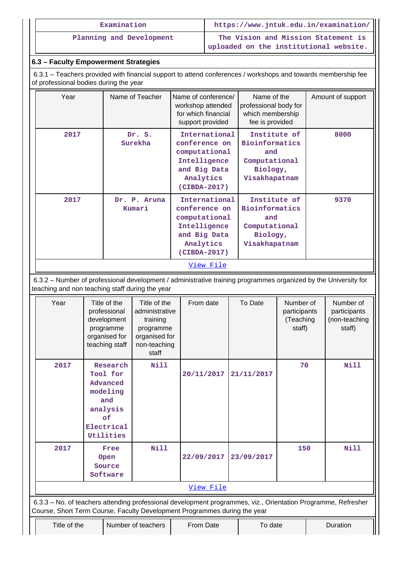| Examination              | https://www.jntuk.edu.in/examination/                                         |
|--------------------------|-------------------------------------------------------------------------------|
| Planning and Development | The Vision and Mission Statement is<br>uploaded on the institutional website. |

## **6.3 – Faculty Empowerment Strategies**

 6.3.1 – Teachers provided with financial support to attend conferences / workshops and towards membership fee of professional bodies during the year

| International<br>Institute of<br>2017<br>Dr. S.<br>Bioinformatics<br>Surekha<br>conference on<br>computational<br>and<br>Intelligence<br>Computational<br>and Big Data<br>Biology,<br>Analytics<br>Visakhapatnam<br>(CIBDA-2017)<br>International<br>Institute of<br>2017<br>Dr. P. Aruna<br><b>Bioinformatics</b><br>conference on<br>Kumari<br>computational<br>and<br>Intelligence<br>Computational | Year | Name of Teacher | Name of conference/<br>workshop attended<br>for which financial<br>support provided | Name of the<br>professional body for<br>which membership<br>fee is provided | Amount of support |
|--------------------------------------------------------------------------------------------------------------------------------------------------------------------------------------------------------------------------------------------------------------------------------------------------------------------------------------------------------------------------------------------------------|------|-----------------|-------------------------------------------------------------------------------------|-----------------------------------------------------------------------------|-------------------|
|                                                                                                                                                                                                                                                                                                                                                                                                        |      |                 |                                                                                     |                                                                             | 8000              |
| Analytics<br>Visakhapatnam<br>(CIBDA-2017)                                                                                                                                                                                                                                                                                                                                                             |      |                 | and Big Data                                                                        | Biology,                                                                    | 9370              |

 6.3.2 – Number of professional development / administrative training programmes organized by the University for teaching and non teaching staff during the year

| Year                                                                                                                                                                                       | Title of the<br>professional<br>development<br>programme<br>organised for<br>teaching staff      | Title of the<br>administrative<br>training<br>programme<br>organised for<br>non-teaching<br>staff | From date  | To Date    | Number of<br>participants<br>(Teaching<br>staff) |  | Number of<br>participants<br>(non-teaching<br>staff) |  |  |
|--------------------------------------------------------------------------------------------------------------------------------------------------------------------------------------------|--------------------------------------------------------------------------------------------------|---------------------------------------------------------------------------------------------------|------------|------------|--------------------------------------------------|--|------------------------------------------------------|--|--|
| 2017                                                                                                                                                                                       | Research<br>Tool for<br>Advanced<br>modeling<br>and<br>analysis<br>of<br>Electrical<br>Utilities | Nill                                                                                              | 20/11/2017 | 21/11/2017 | 70                                               |  | Nill                                                 |  |  |
| 2017                                                                                                                                                                                       | Free<br>Open<br>Source<br>Software                                                               | Nill                                                                                              | 22/09/2017 | 23/09/2017 | 150                                              |  | Nill                                                 |  |  |
| View File                                                                                                                                                                                  |                                                                                                  |                                                                                                   |            |            |                                                  |  |                                                      |  |  |
| 6.3.3 - No. of teachers attending professional development programmes, viz., Orientation Programme, Refresher<br>Course, Short Term Course, Faculty Development Programmes during the year |                                                                                                  |                                                                                                   |            |            |                                                  |  |                                                      |  |  |
| Title of the                                                                                                                                                                               |                                                                                                  | Number of teachers                                                                                | From Date  |            | Duration<br>To date                              |  |                                                      |  |  |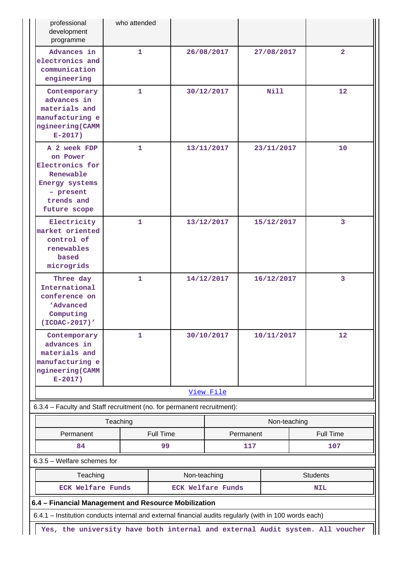| professional<br>development<br>programme                                                                              | who attended                                                                                           |  |                          |            |              |                  |                |  |  |
|-----------------------------------------------------------------------------------------------------------------------|--------------------------------------------------------------------------------------------------------|--|--------------------------|------------|--------------|------------------|----------------|--|--|
| Advances in<br>electronics and<br>communication<br>engineering                                                        | $\mathbf{1}$                                                                                           |  | 26/08/2017               |            | 27/08/2017   |                  | $\overline{2}$ |  |  |
| Contemporary<br>advances in<br>materials and<br>manufacturing e<br>ngineering (CAMM<br>$E-2017$ )                     | $\mathbf{1}$                                                                                           |  | 30/12/2017               |            | N11          |                  | 12             |  |  |
| A 2 week FDP<br>on Power<br>Electronics for<br>Renewable<br>Energy systems<br>- present<br>trends and<br>future scope | 1                                                                                                      |  | 13/11/2017<br>23/11/2017 |            |              | 10               |                |  |  |
| Electricity<br>market oriented<br>control of<br>renewables<br>based<br>microgrids                                     | $\mathbf{1}$                                                                                           |  | 13/12/2017               |            | 15/12/2017   |                  | 3              |  |  |
| Three day<br>International<br>conference on<br><b>Advanced</b><br>Computing<br>(ICOAC-2017)'                          | 1                                                                                                      |  | 14/12/2017<br>16/12/2017 |            |              | $\overline{3}$   |                |  |  |
| Contemporary<br>advances in<br>materials and<br>manufacturing e<br>ngineering (CAMM<br>$E-2017$ )                     | 1<br>30/10/2017                                                                                        |  |                          | 10/11/2017 |              | 12               |                |  |  |
|                                                                                                                       |                                                                                                        |  | View File                |            |              |                  |                |  |  |
| 6.3.4 - Faculty and Staff recruitment (no. for permanent recruitment):                                                |                                                                                                        |  |                          |            |              |                  |                |  |  |
|                                                                                                                       | Teaching                                                                                               |  |                          |            | Non-teaching |                  |                |  |  |
| Permanent                                                                                                             | <b>Full Time</b>                                                                                       |  | Permanent                |            |              | <b>Full Time</b> |                |  |  |
| 84                                                                                                                    | 99                                                                                                     |  | 117                      |            |              | 107              |                |  |  |
| 6.3.5 - Welfare schemes for                                                                                           |                                                                                                        |  |                          |            |              |                  |                |  |  |
| Teaching<br>Non-teaching<br><b>Students</b>                                                                           |                                                                                                        |  |                          |            |              |                  |                |  |  |
| <b>ECK Welfare Funds</b><br><b>ECK Welfare Funds</b><br><b>NIL</b>                                                    |                                                                                                        |  |                          |            |              |                  |                |  |  |
| 6.4 - Financial Management and Resource Mobilization                                                                  |                                                                                                        |  |                          |            |              |                  |                |  |  |
|                                                                                                                       | 6.4.1 - Institution conducts internal and external financial audits regularly (with in 100 words each) |  |                          |            |              |                  |                |  |  |
| Yes, the university have both internal and external Audit system. All voucher                                         |                                                                                                        |  |                          |            |              |                  |                |  |  |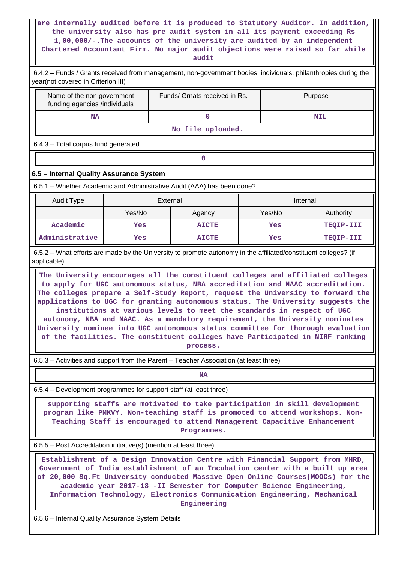#### **are internally audited before it is produced to Statutory Auditor. In addition, the university also has pre audit system in all its payment exceeding Rs 1,00,000/-.The accounts of the university are audited by an independent Chartered Accountant Firm. No major audit objections were raised so far while audit**

| 6.4.2 – Funds / Grants received from management, non-government bodies, individuals, philanthropies during the<br>year(not covered in Criterion III)                                                                                                                                                                                                                                                                                                                                        |        |          |                                                                                                                                                                                                                                                     |        |          |            |  |
|---------------------------------------------------------------------------------------------------------------------------------------------------------------------------------------------------------------------------------------------------------------------------------------------------------------------------------------------------------------------------------------------------------------------------------------------------------------------------------------------|--------|----------|-----------------------------------------------------------------------------------------------------------------------------------------------------------------------------------------------------------------------------------------------------|--------|----------|------------|--|
| Name of the non government<br>funding agencies /individuals                                                                                                                                                                                                                                                                                                                                                                                                                                 |        |          | Funds/ Grnats received in Rs.                                                                                                                                                                                                                       |        |          | Purpose    |  |
| <b>NA</b>                                                                                                                                                                                                                                                                                                                                                                                                                                                                                   |        |          | $\mathbf{0}$                                                                                                                                                                                                                                        |        |          | <b>NIL</b> |  |
|                                                                                                                                                                                                                                                                                                                                                                                                                                                                                             |        |          | No file uploaded.                                                                                                                                                                                                                                   |        |          |            |  |
| 6.4.3 - Total corpus fund generated                                                                                                                                                                                                                                                                                                                                                                                                                                                         |        |          |                                                                                                                                                                                                                                                     |        |          |            |  |
|                                                                                                                                                                                                                                                                                                                                                                                                                                                                                             |        |          | 0                                                                                                                                                                                                                                                   |        |          |            |  |
| 6.5 - Internal Quality Assurance System                                                                                                                                                                                                                                                                                                                                                                                                                                                     |        |          |                                                                                                                                                                                                                                                     |        |          |            |  |
| 6.5.1 – Whether Academic and Administrative Audit (AAA) has been done?                                                                                                                                                                                                                                                                                                                                                                                                                      |        |          |                                                                                                                                                                                                                                                     |        |          |            |  |
| <b>Audit Type</b>                                                                                                                                                                                                                                                                                                                                                                                                                                                                           |        | External |                                                                                                                                                                                                                                                     |        | Internal |            |  |
|                                                                                                                                                                                                                                                                                                                                                                                                                                                                                             | Yes/No |          | Agency                                                                                                                                                                                                                                              | Yes/No |          | Authority  |  |
| Academic                                                                                                                                                                                                                                                                                                                                                                                                                                                                                    | Yes    |          | <b>AICTE</b>                                                                                                                                                                                                                                        | Yes    |          | TEQIP-III  |  |
| Administrative                                                                                                                                                                                                                                                                                                                                                                                                                                                                              | Yes    |          | <b>AICTE</b>                                                                                                                                                                                                                                        | Yes    |          | TEQIP-III  |  |
| 6.5.2 – What efforts are made by the University to promote autonomy in the affiliated/constituent colleges? (if<br>applicable)                                                                                                                                                                                                                                                                                                                                                              |        |          |                                                                                                                                                                                                                                                     |        |          |            |  |
| applications to UGC for granting autonomous status. The University suggests the<br>University nominee into UGC autonomous status committee for thorough evaluation                                                                                                                                                                                                                                                                                                                          |        |          | institutions at various levels to meet the standards in respect of UGC<br>autonomy, NBA and NAAC. As a mandatory requirement, the University nominates<br>of the facilities. The constituent colleges have Participated in NIRF ranking<br>process. |        |          |            |  |
| 6.5.3 - Activities and support from the Parent - Teacher Association (at least three)                                                                                                                                                                                                                                                                                                                                                                                                       |        |          |                                                                                                                                                                                                                                                     |        |          |            |  |
|                                                                                                                                                                                                                                                                                                                                                                                                                                                                                             |        |          | NA                                                                                                                                                                                                                                                  |        |          |            |  |
| 6.5.4 – Development programmes for support staff (at least three)                                                                                                                                                                                                                                                                                                                                                                                                                           |        |          |                                                                                                                                                                                                                                                     |        |          |            |  |
| supporting staffs are motivated to take participation in skill development<br>program like PMKVY. Non-teaching staff is promoted to attend workshops. Non-<br>Teaching Staff is encouraged to attend Management Capacitive Enhancement<br>Programmes.                                                                                                                                                                                                                                       |        |          |                                                                                                                                                                                                                                                     |        |          |            |  |
|                                                                                                                                                                                                                                                                                                                                                                                                                                                                                             |        |          |                                                                                                                                                                                                                                                     |        |          |            |  |
| 6.5.5 – Post Accreditation initiative(s) (mention at least three)<br>Establishment of a Design Innovation Centre with Financial Support from MHRD,<br>Government of India establishment of an Incubation center with a built up area<br>of 20,000 Sq.Ft University conducted Massive Open Online Courses(MOOCs) for the<br>academic year 2017-18 -II Semester for Computer Science Engineering,<br>Information Technology, Electronics Communication Engineering, Mechanical<br>Engineering |        |          |                                                                                                                                                                                                                                                     |        |          |            |  |
| 6.5.6 - Internal Quality Assurance System Details                                                                                                                                                                                                                                                                                                                                                                                                                                           |        |          |                                                                                                                                                                                                                                                     |        |          |            |  |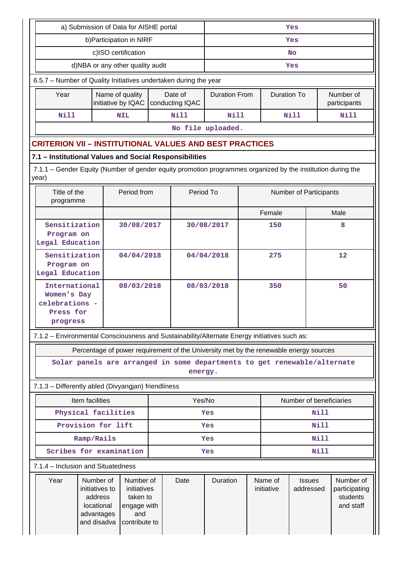|                                               | a) Submission of Data for AISHE portal                                                                               | Yes                                                                               |                                                                             |     |                                                                                       |                      |     |                       |                            |             |                                                     |
|-----------------------------------------------|----------------------------------------------------------------------------------------------------------------------|-----------------------------------------------------------------------------------|-----------------------------------------------------------------------------|-----|---------------------------------------------------------------------------------------|----------------------|-----|-----------------------|----------------------------|-------------|-----------------------------------------------------|
|                                               | b) Participation in NIRF                                                                                             |                                                                                   | Yes                                                                         |     |                                                                                       |                      |     |                       |                            |             |                                                     |
|                                               |                                                                                                                      | c)ISO certification                                                               |                                                                             |     |                                                                                       | <b>No</b>            |     |                       |                            |             |                                                     |
|                                               |                                                                                                                      | d)NBA or any other quality audit                                                  |                                                                             |     |                                                                                       |                      | Yes |                       |                            |             |                                                     |
|                                               | 6.5.7 - Number of Quality Initiatives undertaken during the year                                                     |                                                                                   |                                                                             |     |                                                                                       |                      |     |                       |                            |             |                                                     |
|                                               | Year                                                                                                                 |                                                                                   | Name of quality<br>initiative by IQAC                                       |     | Date of<br>conducting IQAC                                                            | <b>Duration From</b> |     | <b>Duration To</b>    |                            |             | Number of<br>participants                           |
|                                               | <b>Nill</b>                                                                                                          |                                                                                   | <b>NIL</b>                                                                  |     | Nill                                                                                  | <b>Nill</b>          |     |                       | Nill                       |             | <b>Nill</b>                                         |
|                                               |                                                                                                                      |                                                                                   |                                                                             |     |                                                                                       | No file uploaded.    |     |                       |                            |             |                                                     |
|                                               | <b>CRITERION VII - INSTITUTIONAL VALUES AND BEST PRACTICES</b>                                                       |                                                                                   |                                                                             |     |                                                                                       |                      |     |                       |                            |             |                                                     |
|                                               | 7.1 - Institutional Values and Social Responsibilities                                                               |                                                                                   |                                                                             |     |                                                                                       |                      |     |                       |                            |             |                                                     |
|                                               | 7.1.1 – Gender Equity (Number of gender equity promotion programmes organized by the institution during the<br>year) |                                                                                   |                                                                             |     |                                                                                       |                      |     |                       |                            |             |                                                     |
|                                               | Title of the<br>programme                                                                                            |                                                                                   | Period from                                                                 |     | Period To                                                                             |                      |     |                       | Number of Participants     |             |                                                     |
|                                               |                                                                                                                      |                                                                                   |                                                                             |     |                                                                                       |                      |     | Female                |                            |             | Male                                                |
|                                               | Sensitization<br>Program on<br>Legal Education                                                                       |                                                                                   | 30/08/2017                                                                  |     |                                                                                       | 30/08/2017           |     | 150                   |                            |             | 8                                                   |
|                                               | Sensitization<br>Program on<br>Legal Education                                                                       |                                                                                   | 04/04/2018                                                                  |     |                                                                                       | 04/04/2018           |     | 275                   |                            |             | 12                                                  |
|                                               | International<br>Women's Day<br>celebrations -<br>Press for<br>progress                                              | 08/03/2018                                                                        |                                                                             |     |                                                                                       | 08/03/2018           |     | 350                   |                            |             | 50                                                  |
|                                               | 7.1.2 - Environmental Consciousness and Sustainability/Alternate Energy initiatives such as:                         |                                                                                   |                                                                             |     |                                                                                       |                      |     |                       |                            |             |                                                     |
|                                               |                                                                                                                      |                                                                                   |                                                                             |     | Percentage of power requirement of the University met by the renewable energy sources |                      |     |                       |                            |             |                                                     |
|                                               | Solar panels are arranged in some departments to get renewable/alternate                                             |                                                                                   |                                                                             |     | energy.                                                                               |                      |     |                       |                            |             |                                                     |
|                                               | 7.1.3 - Differently abled (Divyangjan) friendliness                                                                  |                                                                                   |                                                                             |     |                                                                                       |                      |     |                       |                            |             |                                                     |
|                                               | Item facilities                                                                                                      |                                                                                   |                                                                             |     | Yes/No                                                                                |                      |     |                       | Number of beneficiaries    |             |                                                     |
|                                               | Physical facilities                                                                                                  |                                                                                   |                                                                             |     |                                                                                       | Yes                  |     |                       |                            | <b>Nill</b> |                                                     |
|                                               | Provision for lift                                                                                                   |                                                                                   |                                                                             |     |                                                                                       | Yes                  |     |                       |                            | <b>Nill</b> |                                                     |
|                                               | Ramp/Rails                                                                                                           |                                                                                   |                                                                             | Yes |                                                                                       |                      |     | <b>Nill</b>           |                            |             |                                                     |
| Scribes for examination<br><b>Nill</b><br>Yes |                                                                                                                      |                                                                                   |                                                                             |     |                                                                                       |                      |     |                       |                            |             |                                                     |
|                                               | 7.1.4 - Inclusion and Situatedness                                                                                   |                                                                                   |                                                                             |     |                                                                                       |                      |     |                       |                            |             |                                                     |
|                                               | Year                                                                                                                 | Number of<br>initiatives to<br>address<br>locational<br>advantages<br>and disadva | Number of<br>initiatives<br>taken to<br>engage with<br>and<br>contribute to |     | Date                                                                                  | Duration             |     | Name of<br>initiative | <b>Issues</b><br>addressed |             | Number of<br>participating<br>students<br>and staff |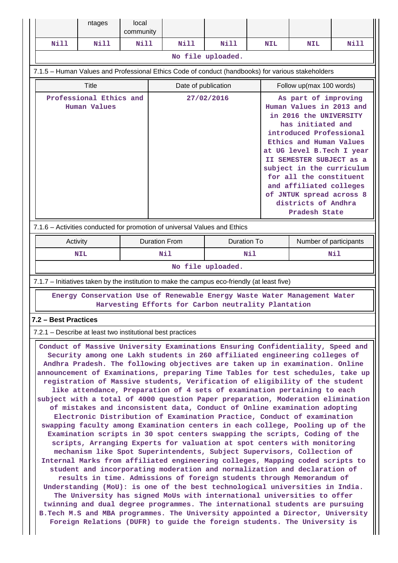|                                                                                                                                                                                                                                                                                                                                                                                                                                                                                                                                                                                                                                                                                                                                                                                                                                                                                                                                                                                                                                                                                                                                                                                                                                                                                                                                                                                                                                                                                                                                                                                                                                                                                                                                                                              | ntages                                                                                            | local<br>community |            |                      |                                                     |            |                                                                                                                                                                                                                                                                                                                                                                        |             |  |
|------------------------------------------------------------------------------------------------------------------------------------------------------------------------------------------------------------------------------------------------------------------------------------------------------------------------------------------------------------------------------------------------------------------------------------------------------------------------------------------------------------------------------------------------------------------------------------------------------------------------------------------------------------------------------------------------------------------------------------------------------------------------------------------------------------------------------------------------------------------------------------------------------------------------------------------------------------------------------------------------------------------------------------------------------------------------------------------------------------------------------------------------------------------------------------------------------------------------------------------------------------------------------------------------------------------------------------------------------------------------------------------------------------------------------------------------------------------------------------------------------------------------------------------------------------------------------------------------------------------------------------------------------------------------------------------------------------------------------------------------------------------------------|---------------------------------------------------------------------------------------------------|--------------------|------------|----------------------|-----------------------------------------------------|------------|------------------------------------------------------------------------------------------------------------------------------------------------------------------------------------------------------------------------------------------------------------------------------------------------------------------------------------------------------------------------|-------------|--|
| <b>Nill</b>                                                                                                                                                                                                                                                                                                                                                                                                                                                                                                                                                                                                                                                                                                                                                                                                                                                                                                                                                                                                                                                                                                                                                                                                                                                                                                                                                                                                                                                                                                                                                                                                                                                                                                                                                                  | <b>Nill</b>                                                                                       | <b>Nill</b>        |            | N111                 | Nill                                                | <b>NIL</b> | <b>NIL</b>                                                                                                                                                                                                                                                                                                                                                             | <b>Nill</b> |  |
|                                                                                                                                                                                                                                                                                                                                                                                                                                                                                                                                                                                                                                                                                                                                                                                                                                                                                                                                                                                                                                                                                                                                                                                                                                                                                                                                                                                                                                                                                                                                                                                                                                                                                                                                                                              |                                                                                                   |                    |            |                      | No file uploaded.                                   |            |                                                                                                                                                                                                                                                                                                                                                                        |             |  |
|                                                                                                                                                                                                                                                                                                                                                                                                                                                                                                                                                                                                                                                                                                                                                                                                                                                                                                                                                                                                                                                                                                                                                                                                                                                                                                                                                                                                                                                                                                                                                                                                                                                                                                                                                                              | 7.1.5 - Human Values and Professional Ethics Code of conduct (handbooks) for various stakeholders |                    |            |                      |                                                     |            |                                                                                                                                                                                                                                                                                                                                                                        |             |  |
|                                                                                                                                                                                                                                                                                                                                                                                                                                                                                                                                                                                                                                                                                                                                                                                                                                                                                                                                                                                                                                                                                                                                                                                                                                                                                                                                                                                                                                                                                                                                                                                                                                                                                                                                                                              | Title                                                                                             |                    |            | Date of publication  |                                                     |            | Follow up(max 100 words)                                                                                                                                                                                                                                                                                                                                               |             |  |
| Professional Ethics and<br><b>Human Values</b>                                                                                                                                                                                                                                                                                                                                                                                                                                                                                                                                                                                                                                                                                                                                                                                                                                                                                                                                                                                                                                                                                                                                                                                                                                                                                                                                                                                                                                                                                                                                                                                                                                                                                                                               |                                                                                                   |                    | 27/02/2016 |                      |                                                     |            | As part of improving<br>Human Values in 2013 and<br>in 2016 the UNIVERSITY<br>has initiated and<br>introduced Professional<br>Ethics and Human Values<br>at UG level B. Tech I year<br>II SEMESTER SUBJECT as a<br>subject in the curriculum<br>for all the constituent<br>and affiliated colleges<br>of JNTUK spread across 8<br>districts of Andhra<br>Pradesh State |             |  |
|                                                                                                                                                                                                                                                                                                                                                                                                                                                                                                                                                                                                                                                                                                                                                                                                                                                                                                                                                                                                                                                                                                                                                                                                                                                                                                                                                                                                                                                                                                                                                                                                                                                                                                                                                                              | 7.1.6 - Activities conducted for promotion of universal Values and Ethics                         |                    |            |                      |                                                     |            |                                                                                                                                                                                                                                                                                                                                                                        |             |  |
|                                                                                                                                                                                                                                                                                                                                                                                                                                                                                                                                                                                                                                                                                                                                                                                                                                                                                                                                                                                                                                                                                                                                                                                                                                                                                                                                                                                                                                                                                                                                                                                                                                                                                                                                                                              | Activity                                                                                          |                    |            | <b>Duration From</b> | <b>Duration To</b>                                  |            | Number of participants                                                                                                                                                                                                                                                                                                                                                 |             |  |
|                                                                                                                                                                                                                                                                                                                                                                                                                                                                                                                                                                                                                                                                                                                                                                                                                                                                                                                                                                                                                                                                                                                                                                                                                                                                                                                                                                                                                                                                                                                                                                                                                                                                                                                                                                              | <b>NIL</b>                                                                                        |                    |            | Nil<br>Nil           |                                                     |            | Nil                                                                                                                                                                                                                                                                                                                                                                    |             |  |
|                                                                                                                                                                                                                                                                                                                                                                                                                                                                                                                                                                                                                                                                                                                                                                                                                                                                                                                                                                                                                                                                                                                                                                                                                                                                                                                                                                                                                                                                                                                                                                                                                                                                                                                                                                              |                                                                                                   |                    |            |                      | No file uploaded.                                   |            |                                                                                                                                                                                                                                                                                                                                                                        |             |  |
|                                                                                                                                                                                                                                                                                                                                                                                                                                                                                                                                                                                                                                                                                                                                                                                                                                                                                                                                                                                                                                                                                                                                                                                                                                                                                                                                                                                                                                                                                                                                                                                                                                                                                                                                                                              | 7.1.7 - Initiatives taken by the institution to make the campus eco-friendly (at least five)      |                    |            |                      |                                                     |            |                                                                                                                                                                                                                                                                                                                                                                        |             |  |
|                                                                                                                                                                                                                                                                                                                                                                                                                                                                                                                                                                                                                                                                                                                                                                                                                                                                                                                                                                                                                                                                                                                                                                                                                                                                                                                                                                                                                                                                                                                                                                                                                                                                                                                                                                              | Energy Conservation Use of Renewable Energy Waste Water Management Water                          |                    |            |                      | Harvesting Efforts for Carbon neutrality Plantation |            |                                                                                                                                                                                                                                                                                                                                                                        |             |  |
| 7.2 – Best Practices                                                                                                                                                                                                                                                                                                                                                                                                                                                                                                                                                                                                                                                                                                                                                                                                                                                                                                                                                                                                                                                                                                                                                                                                                                                                                                                                                                                                                                                                                                                                                                                                                                                                                                                                                         |                                                                                                   |                    |            |                      |                                                     |            |                                                                                                                                                                                                                                                                                                                                                                        |             |  |
|                                                                                                                                                                                                                                                                                                                                                                                                                                                                                                                                                                                                                                                                                                                                                                                                                                                                                                                                                                                                                                                                                                                                                                                                                                                                                                                                                                                                                                                                                                                                                                                                                                                                                                                                                                              |                                                                                                   |                    |            |                      |                                                     |            |                                                                                                                                                                                                                                                                                                                                                                        |             |  |
| 7.2.1 – Describe at least two institutional best practices<br>Conduct of Massive University Examinations Ensuring Confidentiality, Speed and<br>Security among one Lakh students in 260 affiliated engineering colleges of<br>Andhra Pradesh. The following objectives are taken up in examination. Online<br>announcement of Examinations, preparing Time Tables for test schedules, take up<br>registration of Massive students, Verification of eligibility of the student<br>like attendance, Preparation of 4 sets of examination pertaining to each<br>subject with a total of 4000 question Paper preparation, Moderation elimination<br>of mistakes and inconsistent data, Conduct of Online examination adopting<br>Electronic Distribution of Examination Practice, Conduct of examination<br>swapping faculty among Examination centers in each college, Pooling up of the<br>Examination scripts in 30 spot centers swapping the scripts, Coding of the<br>scripts, Arranging Experts for valuation at spot centers with monitoring<br>mechanism like Spot Superintendents, Subject Supervisors, Collection of<br>Internal Marks from affiliated engineering colleges, Mapping coded scripts to<br>student and incorporating moderation and normalization and declaration of<br>results in time. Admissions of foreign students through Memorandum of<br>Understanding (MoU): is one of the best technological universities in India.<br>The University has signed MoUs with international universities to offer<br>twinning and dual degree programmes. The international students are pursuing<br>B. Tech M.S and MBA programmes. The University appointed a Director, University<br>Foreign Relations (DUFR) to guide the foreign students. The University is |                                                                                                   |                    |            |                      |                                                     |            |                                                                                                                                                                                                                                                                                                                                                                        |             |  |